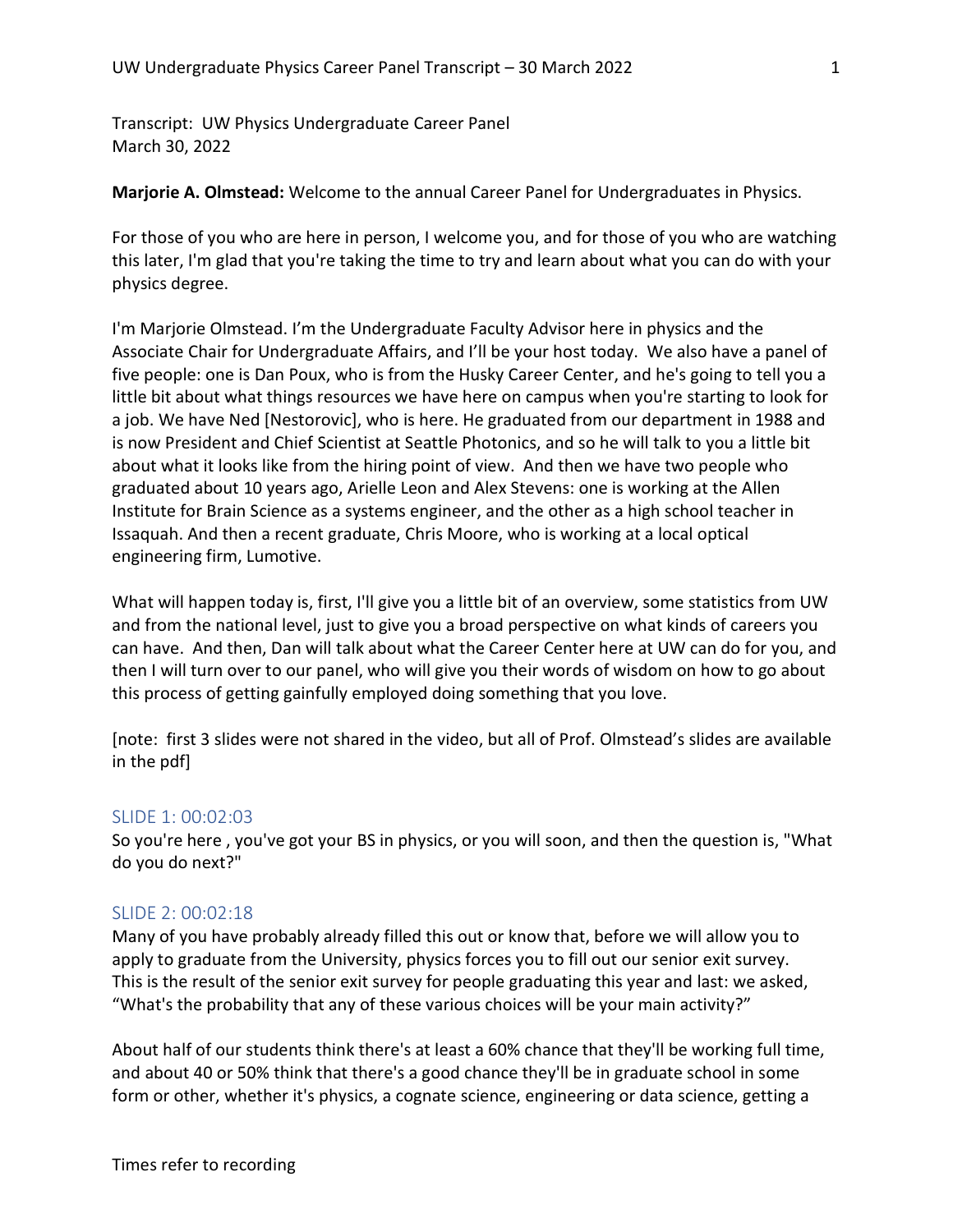Transcript: UW Physics Undergraduate Career Panel March 30, 2022

Marjorie A. Olmstead: Welcome to the annual Career Panel for Undergraduates in Physics.

For those of you who are here in person, I welcome you, and for those of you who are watching this later, I'm glad that you're taking the time to try and learn about what you can do with your physics degree.

I'm Marjorie Olmstead. I'm the Undergraduate Faculty Advisor here in physics and the Associate Chair for Undergraduate Affairs, and I'll be your host today. We also have a panel of five people: one is Dan Poux, who is from the Husky Career Center, and he's going to tell you a little bit about what things resources we have here on campus when you're starting to look for a job. We have Ned [Nestorovic], who is here. He graduated from our department in 1988 and is now President and Chief Scientist at Seattle Photonics, and so he will talk to you a little bit about what it looks like from the hiring point of view. And then we have two people who graduated about 10 years ago, Arielle Leon and Alex Stevens: one is working at the Allen Institute for Brain Science as a systems engineer, and the other as a high school teacher in Issaquah. And then a recent graduate, Chris Moore, who is working at a local optical engineering firm, Lumotive.

What will happen today is, first, I'll give you a little bit of an overview, some statistics from UW and from the national level, just to give you a broad perspective on what kinds of careers you can have. And then, Dan will talk about what the Career Center here at UW can do for you, and then I will turn over to our panel, who will give you their words of wisdom on how to go about this process of getting gainfully employed doing something that you love.

[note: first 3 slides were not shared in the video, but all of Prof. Olmstead's slides are available in the pdf]

#### SLIDE 1: 00:02:03

So you're here , you've got your BS in physics, or you will soon, and then the question is, "What do you do next?"

## SLIDE 2: 00:02:18

Many of you have probably already filled this out or know that, before we will allow you to apply to graduate from the University, physics forces you to fill out our senior exit survey. This is the result of the senior exit survey for people graduating this year and last: we asked, "What's the probability that any of these various choices will be your main activity?"

About half of our students think there's at least a 60% chance that they'll be working full time, and about 40 or 50% think that there's a good chance they'll be in graduate school in some form or other, whether it's physics, a cognate science, engineering or data science, getting a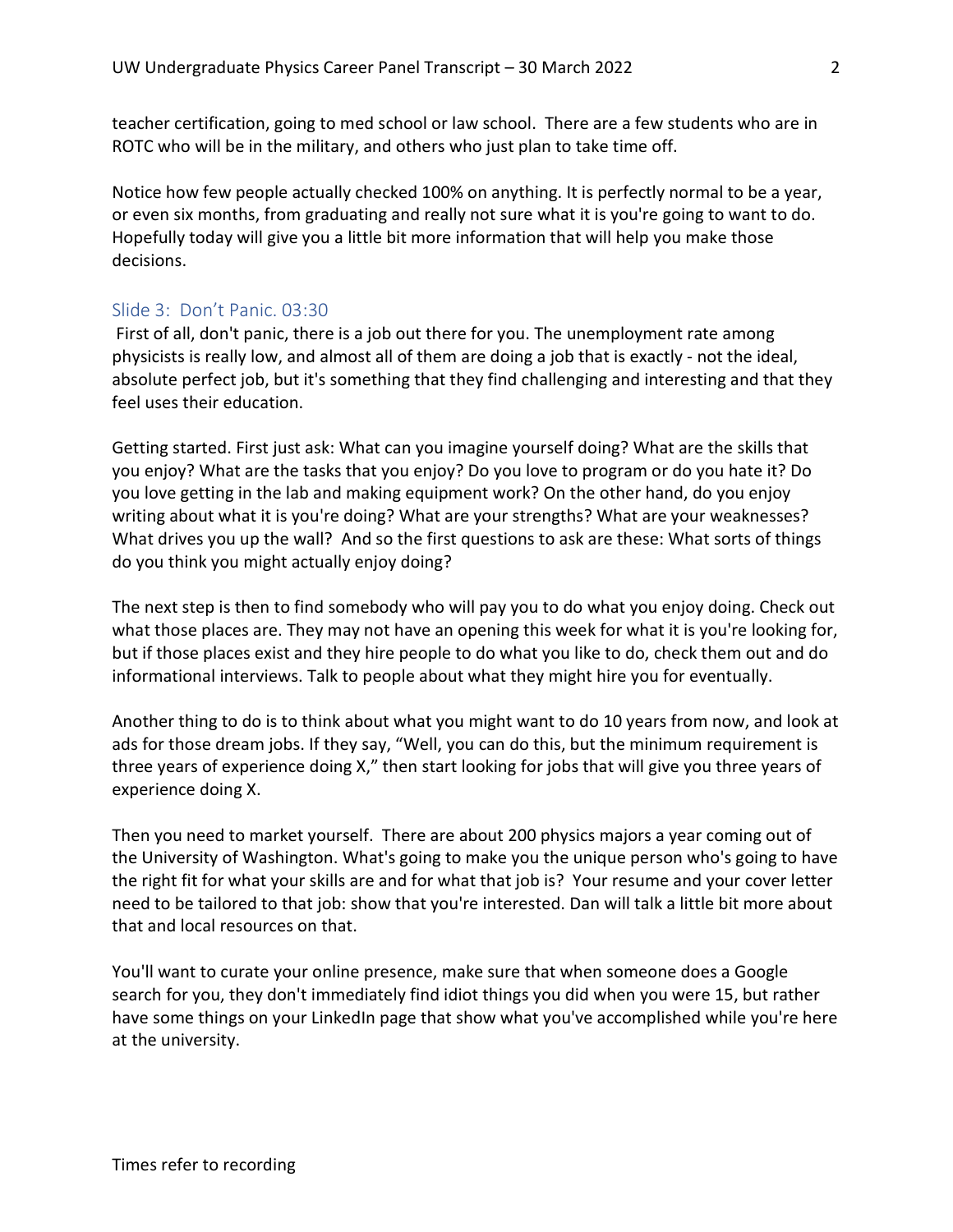teacher certification, going to med school or law school. There are a few students who are in ROTC who will be in the military, and others who just plan to take time off.

Notice how few people actually checked 100% on anything. It is perfectly normal to be a year, or even six months, from graduating and really not sure what it is you're going to want to do. Hopefully today will give you a little bit more information that will help you make those decisions.

#### Slide 3: Don't Panic. 03:30

 First of all, don't panic, there is a job out there for you. The unemployment rate among physicists is really low, and almost all of them are doing a job that is exactly - not the ideal, absolute perfect job, but it's something that they find challenging and interesting and that they feel uses their education.

Getting started. First just ask: What can you imagine yourself doing? What are the skills that you enjoy? What are the tasks that you enjoy? Do you love to program or do you hate it? Do you love getting in the lab and making equipment work? On the other hand, do you enjoy writing about what it is you're doing? What are your strengths? What are your weaknesses? What drives you up the wall? And so the first questions to ask are these: What sorts of things do you think you might actually enjoy doing?

The next step is then to find somebody who will pay you to do what you enjoy doing. Check out what those places are. They may not have an opening this week for what it is you're looking for, but if those places exist and they hire people to do what you like to do, check them out and do informational interviews. Talk to people about what they might hire you for eventually.

Another thing to do is to think about what you might want to do 10 years from now, and look at ads for those dream jobs. If they say, "Well, you can do this, but the minimum requirement is three years of experience doing X," then start looking for jobs that will give you three years of experience doing X.

Then you need to market yourself. There are about 200 physics majors a year coming out of the University of Washington. What's going to make you the unique person who's going to have the right fit for what your skills are and for what that job is? Your resume and your cover letter need to be tailored to that job: show that you're interested. Dan will talk a little bit more about that and local resources on that.

You'll want to curate your online presence, make sure that when someone does a Google search for you, they don't immediately find idiot things you did when you were 15, but rather have some things on your LinkedIn page that show what you've accomplished while you're here at the university.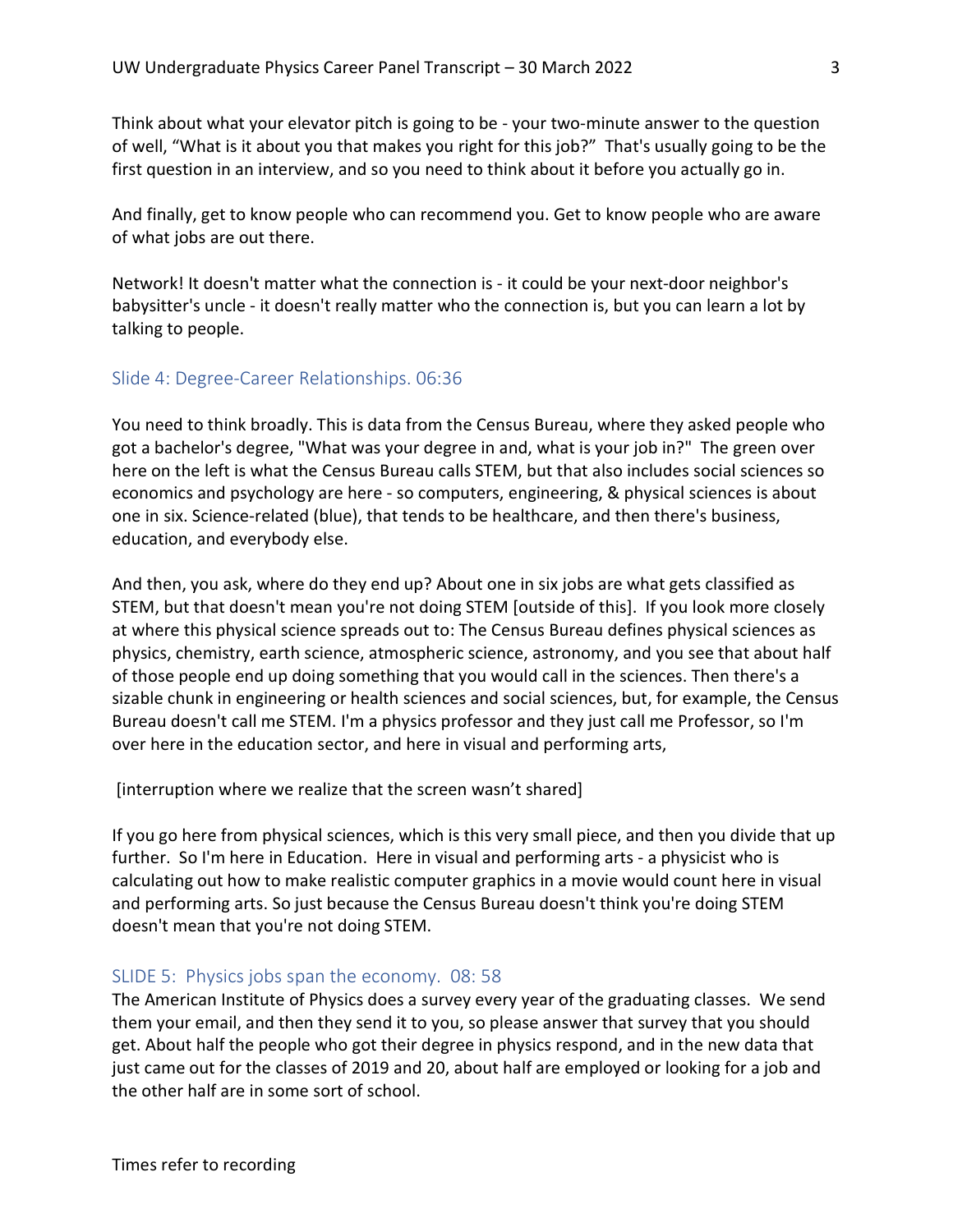Think about what your elevator pitch is going to be - your two-minute answer to the question of well, "What is it about you that makes you right for this job?" That's usually going to be the first question in an interview, and so you need to think about it before you actually go in.

And finally, get to know people who can recommend you. Get to know people who are aware of what jobs are out there.

Network! It doesn't matter what the connection is - it could be your next-door neighbor's babysitter's uncle - it doesn't really matter who the connection is, but you can learn a lot by talking to people.

## Slide 4: Degree-Career Relationships. 06:36

You need to think broadly. This is data from the Census Bureau, where they asked people who got a bachelor's degree, "What was your degree in and, what is your job in?" The green over here on the left is what the Census Bureau calls STEM, but that also includes social sciences so economics and psychology are here - so computers, engineering, & physical sciences is about one in six. Science-related (blue), that tends to be healthcare, and then there's business, education, and everybody else.

And then, you ask, where do they end up? About one in six jobs are what gets classified as STEM, but that doesn't mean you're not doing STEM [outside of this]. If you look more closely at where this physical science spreads out to: The Census Bureau defines physical sciences as physics, chemistry, earth science, atmospheric science, astronomy, and you see that about half of those people end up doing something that you would call in the sciences. Then there's a sizable chunk in engineering or health sciences and social sciences, but, for example, the Census Bureau doesn't call me STEM. I'm a physics professor and they just call me Professor, so I'm over here in the education sector, and here in visual and performing arts,

[interruption where we realize that the screen wasn't shared]

If you go here from physical sciences, which is this very small piece, and then you divide that up further. So I'm here in Education. Here in visual and performing arts - a physicist who is calculating out how to make realistic computer graphics in a movie would count here in visual and performing arts. So just because the Census Bureau doesn't think you're doing STEM doesn't mean that you're not doing STEM.

#### SLIDE 5: Physics jobs span the economy. 08: 58

The American Institute of Physics does a survey every year of the graduating classes. We send them your email, and then they send it to you, so please answer that survey that you should get. About half the people who got their degree in physics respond, and in the new data that just came out for the classes of 2019 and 20, about half are employed or looking for a job and the other half are in some sort of school.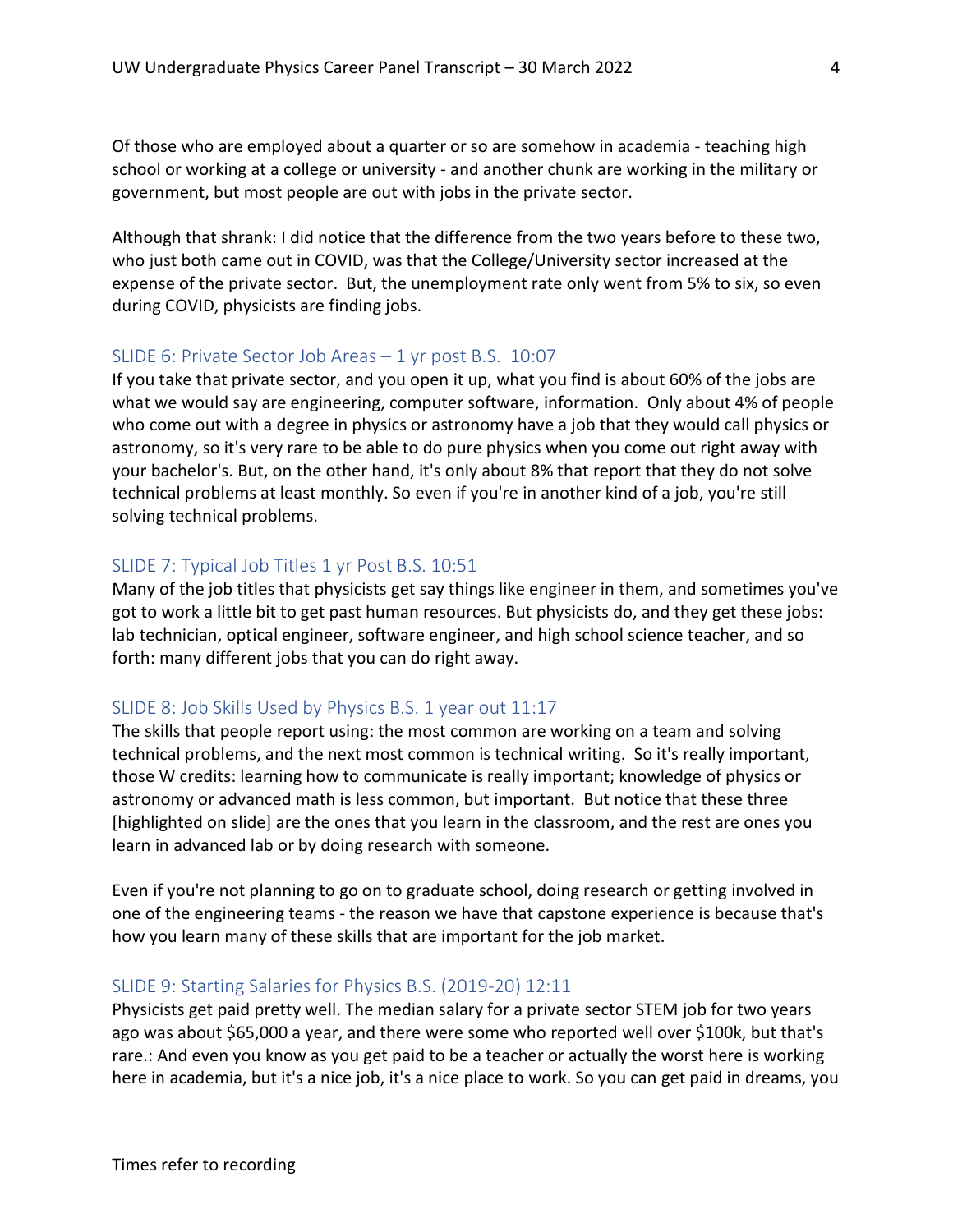Of those who are employed about a quarter or so are somehow in academia - teaching high school or working at a college or university - and another chunk are working in the military or government, but most people are out with jobs in the private sector.

Although that shrank: I did notice that the difference from the two years before to these two, who just both came out in COVID, was that the College/University sector increased at the expense of the private sector. But, the unemployment rate only went from 5% to six, so even during COVID, physicists are finding jobs.

#### SLIDE 6: Private Sector Job Areas – 1 yr post B.S. 10:07

If you take that private sector, and you open it up, what you find is about 60% of the jobs are what we would say are engineering, computer software, information. Only about 4% of people who come out with a degree in physics or astronomy have a job that they would call physics or astronomy, so it's very rare to be able to do pure physics when you come out right away with your bachelor's. But, on the other hand, it's only about 8% that report that they do not solve technical problems at least monthly. So even if you're in another kind of a job, you're still solving technical problems.

### SLIDE 7: Typical Job Titles 1 yr Post B.S. 10:51

Many of the job titles that physicists get say things like engineer in them, and sometimes you've got to work a little bit to get past human resources. But physicists do, and they get these jobs: lab technician, optical engineer, software engineer, and high school science teacher, and so forth: many different jobs that you can do right away.

## SLIDE 8: Job Skills Used by Physics B.S. 1 year out 11:17

The skills that people report using: the most common are working on a team and solving technical problems, and the next most common is technical writing. So it's really important, those W credits: learning how to communicate is really important; knowledge of physics or astronomy or advanced math is less common, but important. But notice that these three [highlighted on slide] are the ones that you learn in the classroom, and the rest are ones you learn in advanced lab or by doing research with someone.

Even if you're not planning to go on to graduate school, doing research or getting involved in one of the engineering teams - the reason we have that capstone experience is because that's how you learn many of these skills that are important for the job market.

### SLIDE 9: Starting Salaries for Physics B.S. (2019-20) 12:11

Physicists get paid pretty well. The median salary for a private sector STEM job for two years ago was about \$65,000 a year, and there were some who reported well over \$100k, but that's rare.: And even you know as you get paid to be a teacher or actually the worst here is working here in academia, but it's a nice job, it's a nice place to work. So you can get paid in dreams, you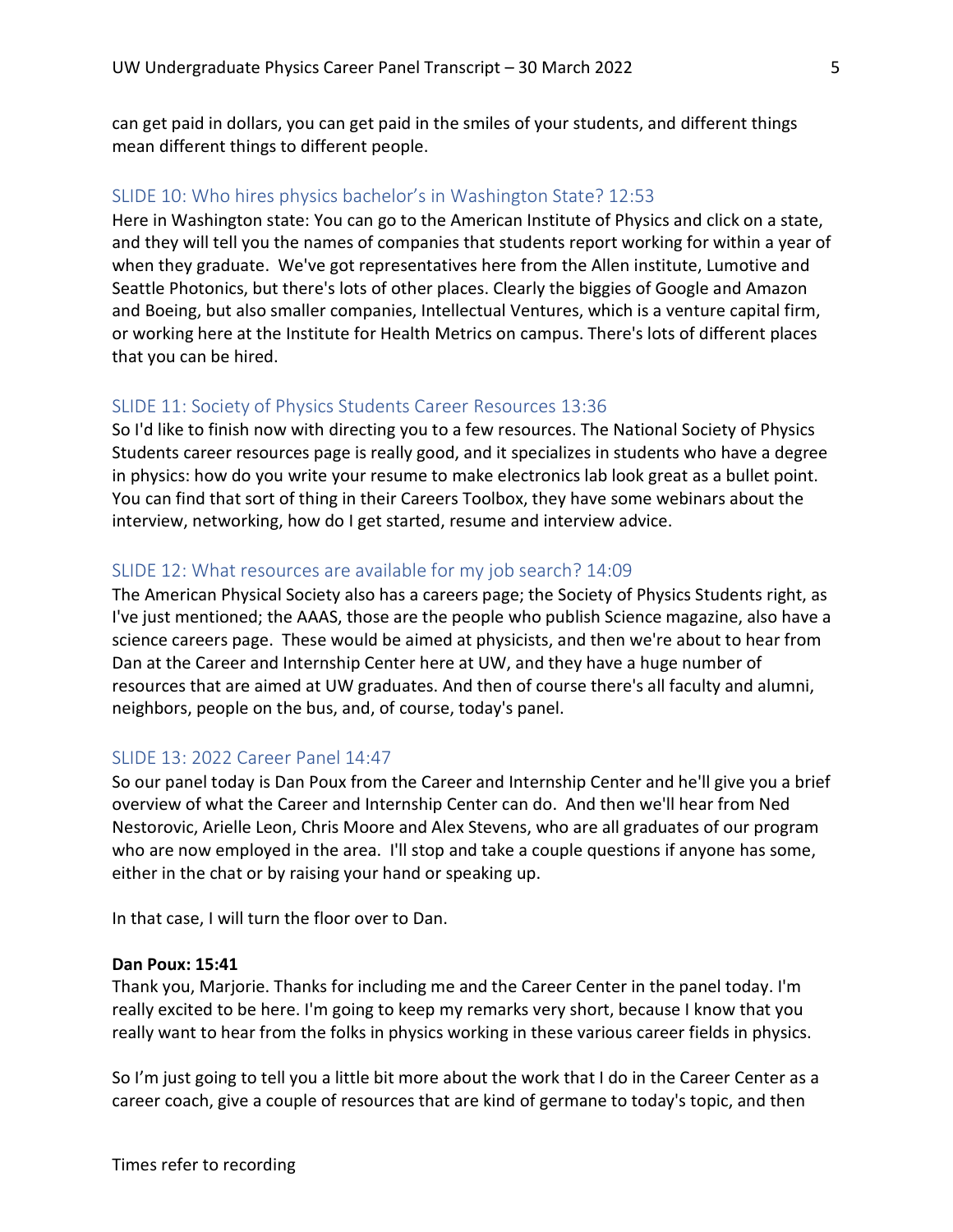can get paid in dollars, you can get paid in the smiles of your students, and different things mean different things to different people.

# SLIDE 10: Who hires physics bachelor's in Washington State? 12:53

Here in Washington state: You can go to the American Institute of Physics and click on a state, and they will tell you the names of companies that students report working for within a year of when they graduate. We've got representatives here from the Allen institute, Lumotive and Seattle Photonics, but there's lots of other places. Clearly the biggies of Google and Amazon and Boeing, but also smaller companies, Intellectual Ventures, which is a venture capital firm, or working here at the Institute for Health Metrics on campus. There's lots of different places that you can be hired.

#### SLIDE 11: Society of Physics Students Career Resources 13:36

So I'd like to finish now with directing you to a few resources. The National Society of Physics Students career resources page is really good, and it specializes in students who have a degree in physics: how do you write your resume to make electronics lab look great as a bullet point. You can find that sort of thing in their Careers Toolbox, they have some webinars about the interview, networking, how do I get started, resume and interview advice.

#### SLIDE 12: What resources are available for my job search? 14:09

The American Physical Society also has a careers page; the Society of Physics Students right, as I've just mentioned; the AAAS, those are the people who publish Science magazine, also have a science careers page. These would be aimed at physicists, and then we're about to hear from Dan at the Career and Internship Center here at UW, and they have a huge number of resources that are aimed at UW graduates. And then of course there's all faculty and alumni, neighbors, people on the bus, and, of course, today's panel.

### SLIDE 13: 2022 Career Panel 14:47

So our panel today is Dan Poux from the Career and Internship Center and he'll give you a brief overview of what the Career and Internship Center can do. And then we'll hear from Ned Nestorovic, Arielle Leon, Chris Moore and Alex Stevens, who are all graduates of our program who are now employed in the area. I'll stop and take a couple questions if anyone has some, either in the chat or by raising your hand or speaking up.

In that case, I will turn the floor over to Dan.

#### Dan Poux: 15:41

Thank you, Marjorie. Thanks for including me and the Career Center in the panel today. I'm really excited to be here. I'm going to keep my remarks very short, because I know that you really want to hear from the folks in physics working in these various career fields in physics.

So I'm just going to tell you a little bit more about the work that I do in the Career Center as a career coach, give a couple of resources that are kind of germane to today's topic, and then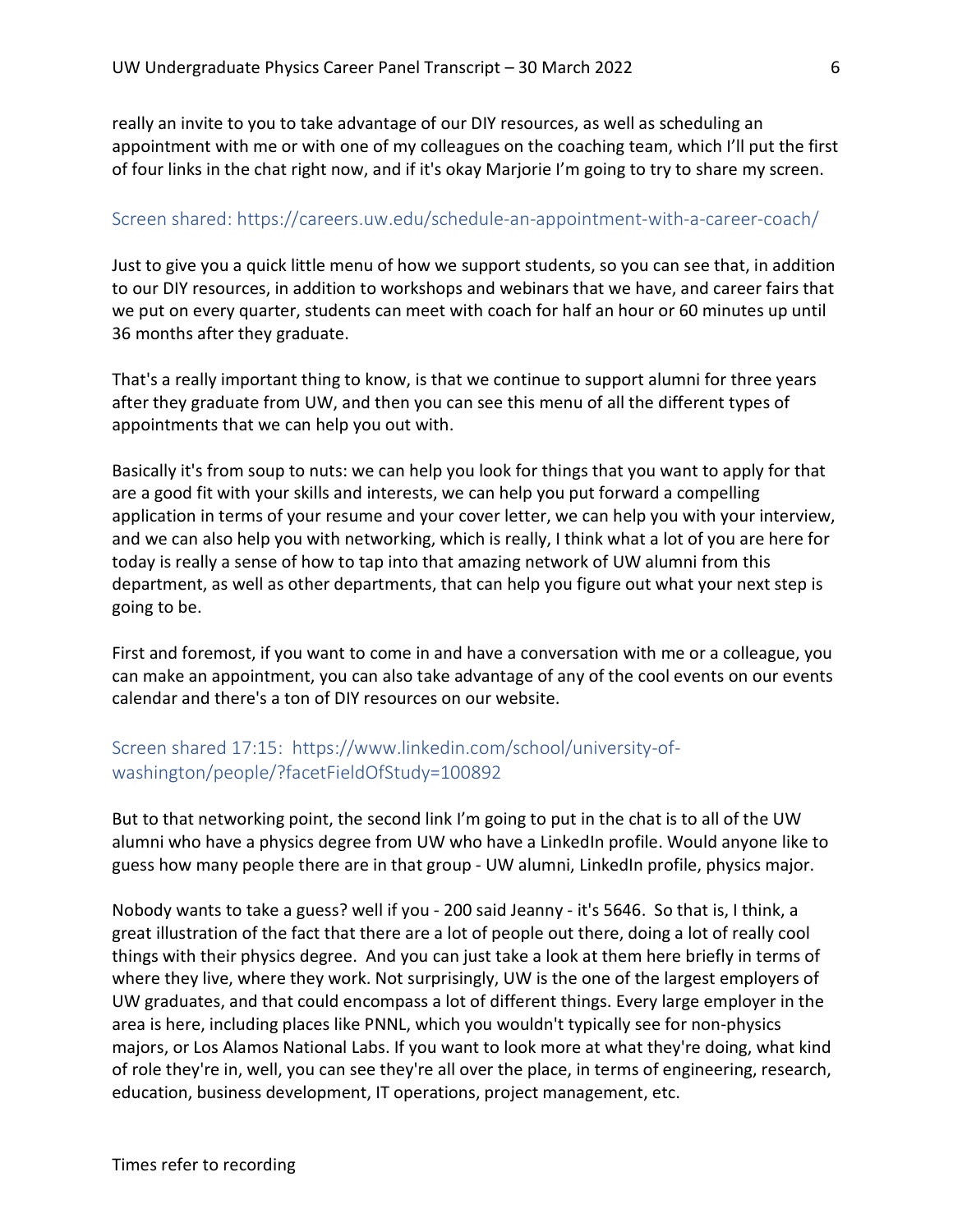really an invite to you to take advantage of our DIY resources, as well as scheduling an appointment with me or with one of my colleagues on the coaching team, which I'll put the first of four links in the chat right now, and if it's okay Marjorie I'm going to try to share my screen.

## Screen shared: https://careers.uw.edu/schedule-an-appointment-with-a-career-coach/

Just to give you a quick little menu of how we support students, so you can see that, in addition to our DIY resources, in addition to workshops and webinars that we have, and career fairs that we put on every quarter, students can meet with coach for half an hour or 60 minutes up until 36 months after they graduate.

That's a really important thing to know, is that we continue to support alumni for three years after they graduate from UW, and then you can see this menu of all the different types of appointments that we can help you out with.

Basically it's from soup to nuts: we can help you look for things that you want to apply for that are a good fit with your skills and interests, we can help you put forward a compelling application in terms of your resume and your cover letter, we can help you with your interview, and we can also help you with networking, which is really, I think what a lot of you are here for today is really a sense of how to tap into that amazing network of UW alumni from this department, as well as other departments, that can help you figure out what your next step is going to be.

First and foremost, if you want to come in and have a conversation with me or a colleague, you can make an appointment, you can also take advantage of any of the cool events on our events calendar and there's a ton of DIY resources on our website.

# Screen shared 17:15: https://www.linkedin.com/school/university-ofwashington/people/?facetFieldOfStudy=100892

But to that networking point, the second link I'm going to put in the chat is to all of the UW alumni who have a physics degree from UW who have a LinkedIn profile. Would anyone like to guess how many people there are in that group - UW alumni, LinkedIn profile, physics major.

Nobody wants to take a guess? well if you - 200 said Jeanny - it's 5646. So that is, I think, a great illustration of the fact that there are a lot of people out there, doing a lot of really cool things with their physics degree. And you can just take a look at them here briefly in terms of where they live, where they work. Not surprisingly, UW is the one of the largest employers of UW graduates, and that could encompass a lot of different things. Every large employer in the area is here, including places like PNNL, which you wouldn't typically see for non-physics majors, or Los Alamos National Labs. If you want to look more at what they're doing, what kind of role they're in, well, you can see they're all over the place, in terms of engineering, research, education, business development, IT operations, project management, etc.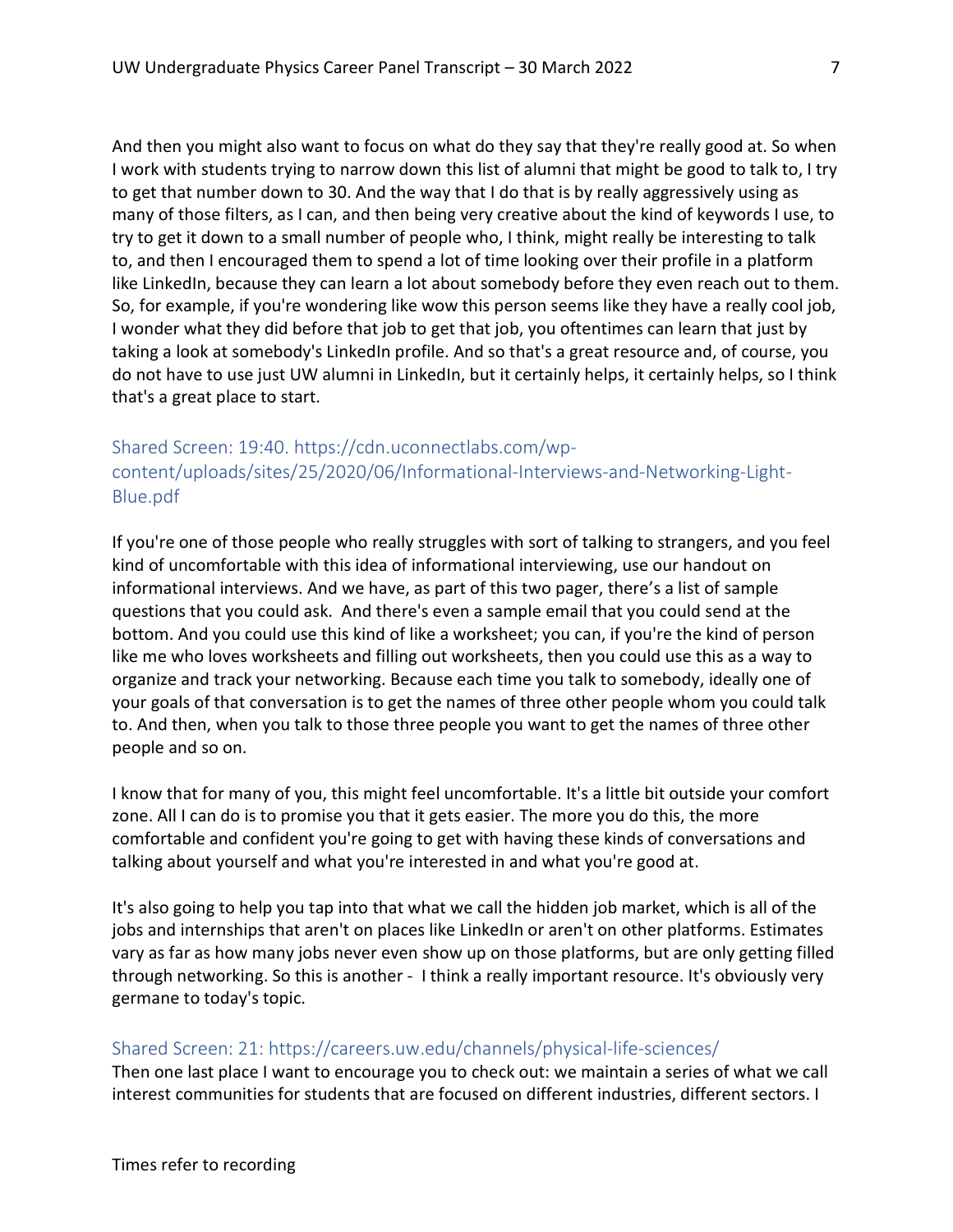And then you might also want to focus on what do they say that they're really good at. So when I work with students trying to narrow down this list of alumni that might be good to talk to, I try to get that number down to 30. And the way that I do that is by really aggressively using as many of those filters, as I can, and then being very creative about the kind of keywords I use, to try to get it down to a small number of people who, I think, might really be interesting to talk to, and then I encouraged them to spend a lot of time looking over their profile in a platform like LinkedIn, because they can learn a lot about somebody before they even reach out to them. So, for example, if you're wondering like wow this person seems like they have a really cool job, I wonder what they did before that job to get that job, you oftentimes can learn that just by taking a look at somebody's LinkedIn profile. And so that's a great resource and, of course, you do not have to use just UW alumni in LinkedIn, but it certainly helps, it certainly helps, so I think that's a great place to start.

# Shared Screen: 19:40. https://cdn.uconnectlabs.com/wpcontent/uploads/sites/25/2020/06/Informational-Interviews-and-Networking-Light-Blue.pdf

If you're one of those people who really struggles with sort of talking to strangers, and you feel kind of uncomfortable with this idea of informational interviewing, use our handout on informational interviews. And we have, as part of this two pager, there's a list of sample questions that you could ask. And there's even a sample email that you could send at the bottom. And you could use this kind of like a worksheet; you can, if you're the kind of person like me who loves worksheets and filling out worksheets, then you could use this as a way to organize and track your networking. Because each time you talk to somebody, ideally one of your goals of that conversation is to get the names of three other people whom you could talk to. And then, when you talk to those three people you want to get the names of three other people and so on.

I know that for many of you, this might feel uncomfortable. It's a little bit outside your comfort zone. All I can do is to promise you that it gets easier. The more you do this, the more comfortable and confident you're going to get with having these kinds of conversations and talking about yourself and what you're interested in and what you're good at.

It's also going to help you tap into that what we call the hidden job market, which is all of the jobs and internships that aren't on places like LinkedIn or aren't on other platforms. Estimates vary as far as how many jobs never even show up on those platforms, but are only getting filled through networking. So this is another - I think a really important resource. It's obviously very germane to today's topic.

# Shared Screen: 21: https://careers.uw.edu/channels/physical-life-sciences/

Then one last place I want to encourage you to check out: we maintain a series of what we call interest communities for students that are focused on different industries, different sectors. I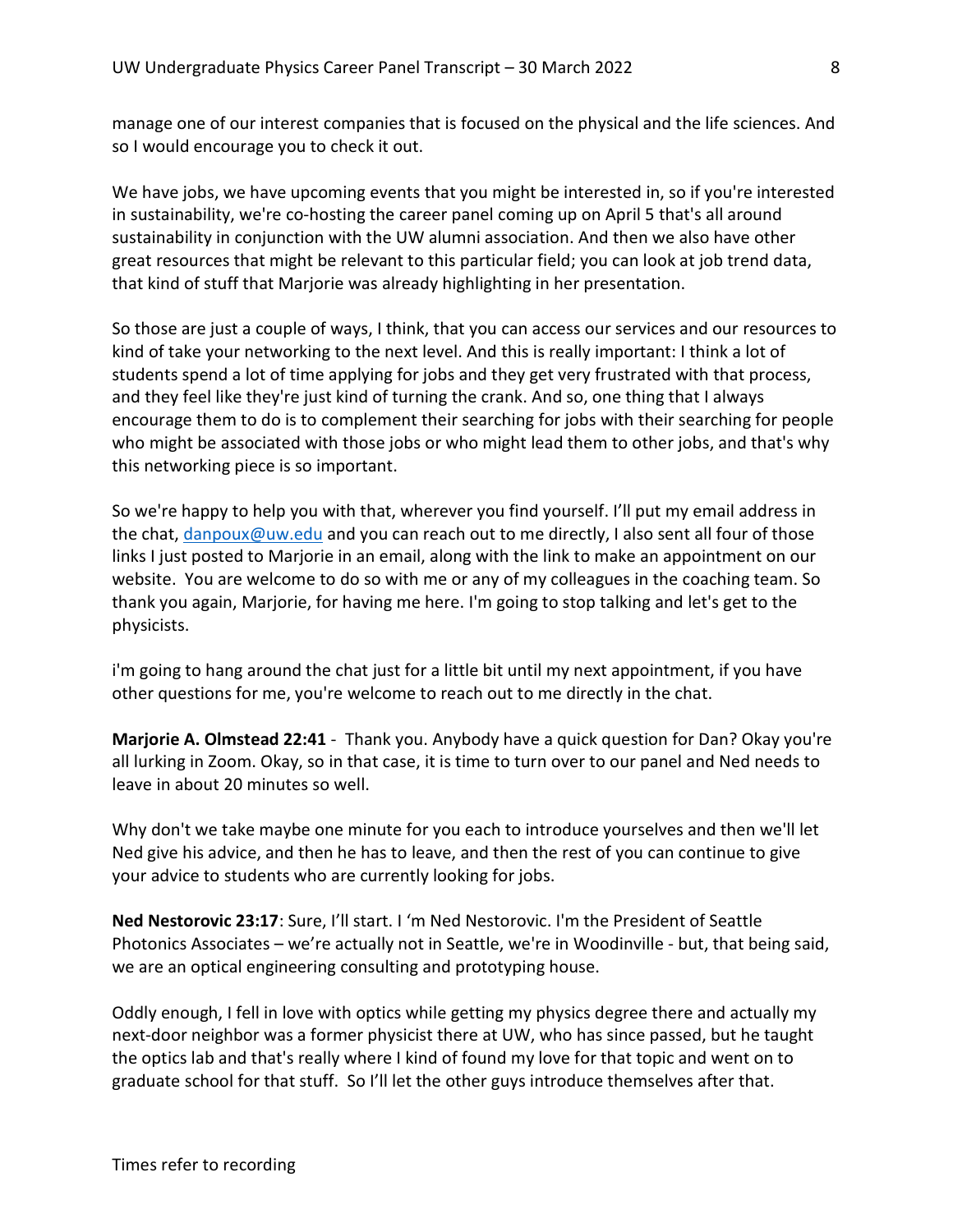manage one of our interest companies that is focused on the physical and the life sciences. And so I would encourage you to check it out.

We have jobs, we have upcoming events that you might be interested in, so if you're interested in sustainability, we're co-hosting the career panel coming up on April 5 that's all around sustainability in conjunction with the UW alumni association. And then we also have other great resources that might be relevant to this particular field; you can look at job trend data, that kind of stuff that Marjorie was already highlighting in her presentation.

So those are just a couple of ways, I think, that you can access our services and our resources to kind of take your networking to the next level. And this is really important: I think a lot of students spend a lot of time applying for jobs and they get very frustrated with that process, and they feel like they're just kind of turning the crank. And so, one thing that I always encourage them to do is to complement their searching for jobs with their searching for people who might be associated with those jobs or who might lead them to other jobs, and that's why this networking piece is so important.

So we're happy to help you with that, wherever you find yourself. I'll put my email address in the chat, danpoux@uw.edu and you can reach out to me directly, I also sent all four of those links I just posted to Marjorie in an email, along with the link to make an appointment on our website. You are welcome to do so with me or any of my colleagues in the coaching team. So thank you again, Marjorie, for having me here. I'm going to stop talking and let's get to the physicists.

i'm going to hang around the chat just for a little bit until my next appointment, if you have other questions for me, you're welcome to reach out to me directly in the chat.

Marjorie A. Olmstead 22:41 - Thank you. Anybody have a quick question for Dan? Okay you're all lurking in Zoom. Okay, so in that case, it is time to turn over to our panel and Ned needs to leave in about 20 minutes so well.

Why don't we take maybe one minute for you each to introduce yourselves and then we'll let Ned give his advice, and then he has to leave, and then the rest of you can continue to give your advice to students who are currently looking for jobs.

Ned Nestorovic 23:17: Sure, I'll start. I 'm Ned Nestorovic. I'm the President of Seattle Photonics Associates – we're actually not in Seattle, we're in Woodinville - but, that being said, we are an optical engineering consulting and prototyping house.

Oddly enough, I fell in love with optics while getting my physics degree there and actually my next-door neighbor was a former physicist there at UW, who has since passed, but he taught the optics lab and that's really where I kind of found my love for that topic and went on to graduate school for that stuff. So I'll let the other guys introduce themselves after that.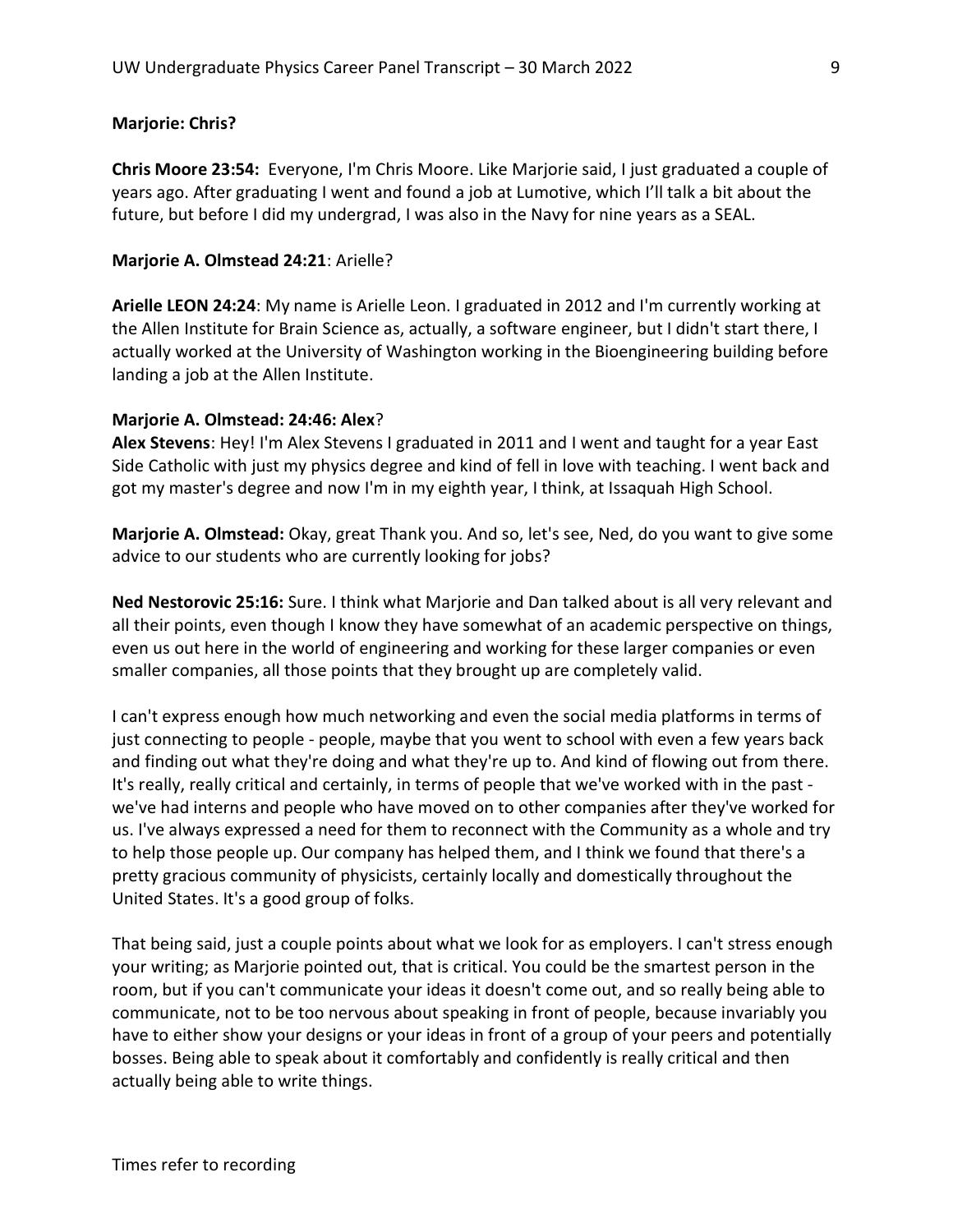# Marjorie: Chris?

Chris Moore 23:54: Everyone, I'm Chris Moore. Like Marjorie said, I just graduated a couple of years ago. After graduating I went and found a job at Lumotive, which I'll talk a bit about the future, but before I did my undergrad, I was also in the Navy for nine years as a SEAL.

# Marjorie A. Olmstead 24:21: Arielle?

Arielle LEON 24:24: My name is Arielle Leon. I graduated in 2012 and I'm currently working at the Allen Institute for Brain Science as, actually, a software engineer, but I didn't start there, I actually worked at the University of Washington working in the Bioengineering building before landing a job at the Allen Institute.

## Marjorie A. Olmstead: 24:46: Alex?

Alex Stevens: Hey! I'm Alex Stevens I graduated in 2011 and I went and taught for a year East Side Catholic with just my physics degree and kind of fell in love with teaching. I went back and got my master's degree and now I'm in my eighth year, I think, at Issaquah High School.

Marjorie A. Olmstead: Okay, great Thank you. And so, let's see, Ned, do you want to give some advice to our students who are currently looking for jobs?

Ned Nestorovic 25:16: Sure. I think what Marjorie and Dan talked about is all very relevant and all their points, even though I know they have somewhat of an academic perspective on things, even us out here in the world of engineering and working for these larger companies or even smaller companies, all those points that they brought up are completely valid.

I can't express enough how much networking and even the social media platforms in terms of just connecting to people - people, maybe that you went to school with even a few years back and finding out what they're doing and what they're up to. And kind of flowing out from there. It's really, really critical and certainly, in terms of people that we've worked with in the past we've had interns and people who have moved on to other companies after they've worked for us. I've always expressed a need for them to reconnect with the Community as a whole and try to help those people up. Our company has helped them, and I think we found that there's a pretty gracious community of physicists, certainly locally and domestically throughout the United States. It's a good group of folks.

That being said, just a couple points about what we look for as employers. I can't stress enough your writing; as Marjorie pointed out, that is critical. You could be the smartest person in the room, but if you can't communicate your ideas it doesn't come out, and so really being able to communicate, not to be too nervous about speaking in front of people, because invariably you have to either show your designs or your ideas in front of a group of your peers and potentially bosses. Being able to speak about it comfortably and confidently is really critical and then actually being able to write things.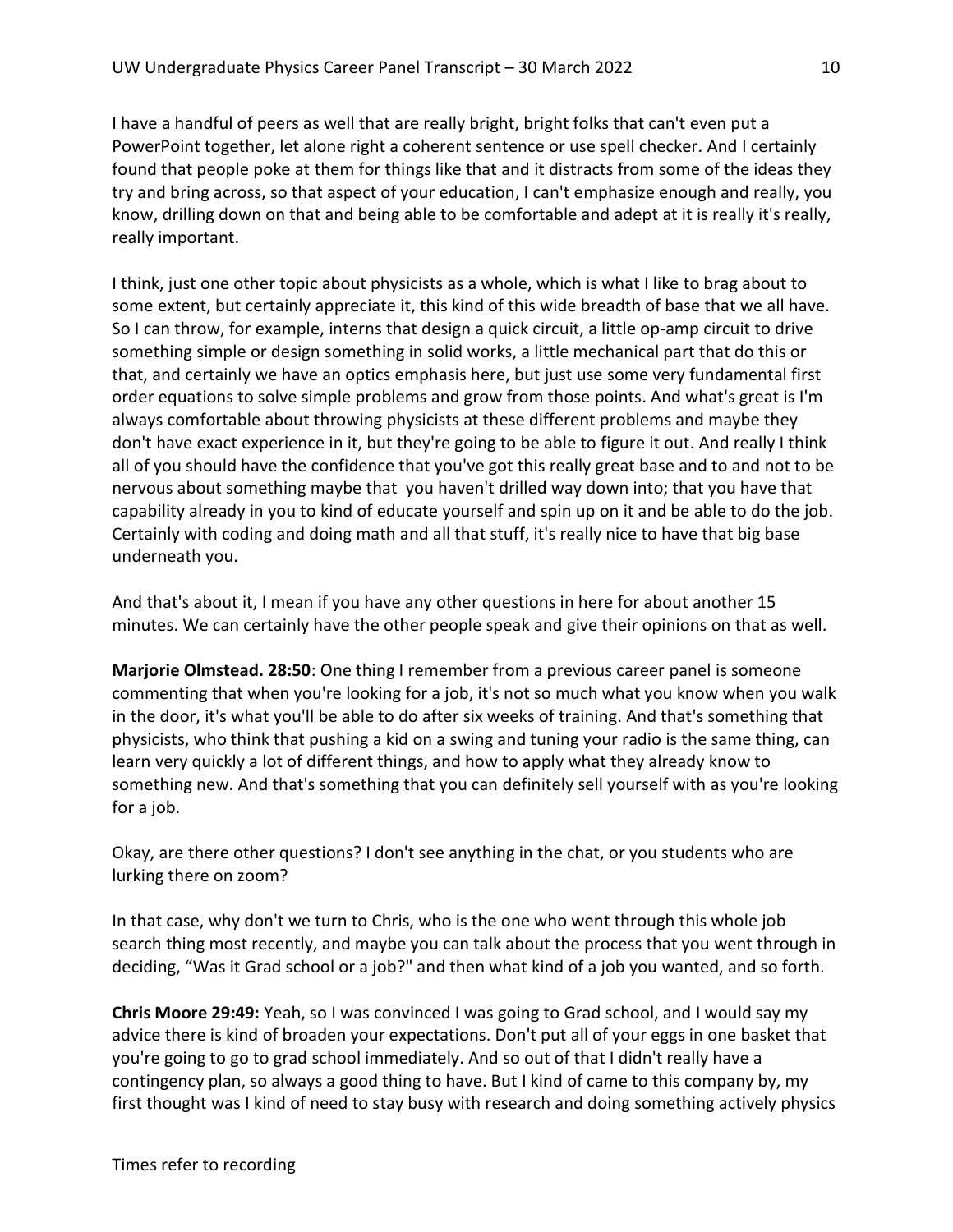I have a handful of peers as well that are really bright, bright folks that can't even put a PowerPoint together, let alone right a coherent sentence or use spell checker. And I certainly found that people poke at them for things like that and it distracts from some of the ideas they try and bring across, so that aspect of your education, I can't emphasize enough and really, you know, drilling down on that and being able to be comfortable and adept at it is really it's really, really important.

I think, just one other topic about physicists as a whole, which is what I like to brag about to some extent, but certainly appreciate it, this kind of this wide breadth of base that we all have. So I can throw, for example, interns that design a quick circuit, a little op-amp circuit to drive something simple or design something in solid works, a little mechanical part that do this or that, and certainly we have an optics emphasis here, but just use some very fundamental first order equations to solve simple problems and grow from those points. And what's great is I'm always comfortable about throwing physicists at these different problems and maybe they don't have exact experience in it, but they're going to be able to figure it out. And really I think all of you should have the confidence that you've got this really great base and to and not to be nervous about something maybe that you haven't drilled way down into; that you have that capability already in you to kind of educate yourself and spin up on it and be able to do the job. Certainly with coding and doing math and all that stuff, it's really nice to have that big base underneath you.

And that's about it, I mean if you have any other questions in here for about another 15 minutes. We can certainly have the other people speak and give their opinions on that as well.

Marjorie Olmstead. 28:50: One thing I remember from a previous career panel is someone commenting that when you're looking for a job, it's not so much what you know when you walk in the door, it's what you'll be able to do after six weeks of training. And that's something that physicists, who think that pushing a kid on a swing and tuning your radio is the same thing, can learn very quickly a lot of different things, and how to apply what they already know to something new. And that's something that you can definitely sell yourself with as you're looking for a job.

Okay, are there other questions? I don't see anything in the chat, or you students who are lurking there on zoom?

In that case, why don't we turn to Chris, who is the one who went through this whole job search thing most recently, and maybe you can talk about the process that you went through in deciding, "Was it Grad school or a job?" and then what kind of a job you wanted, and so forth.

Chris Moore 29:49: Yeah, so I was convinced I was going to Grad school, and I would say my advice there is kind of broaden your expectations. Don't put all of your eggs in one basket that you're going to go to grad school immediately. And so out of that I didn't really have a contingency plan, so always a good thing to have. But I kind of came to this company by, my first thought was I kind of need to stay busy with research and doing something actively physics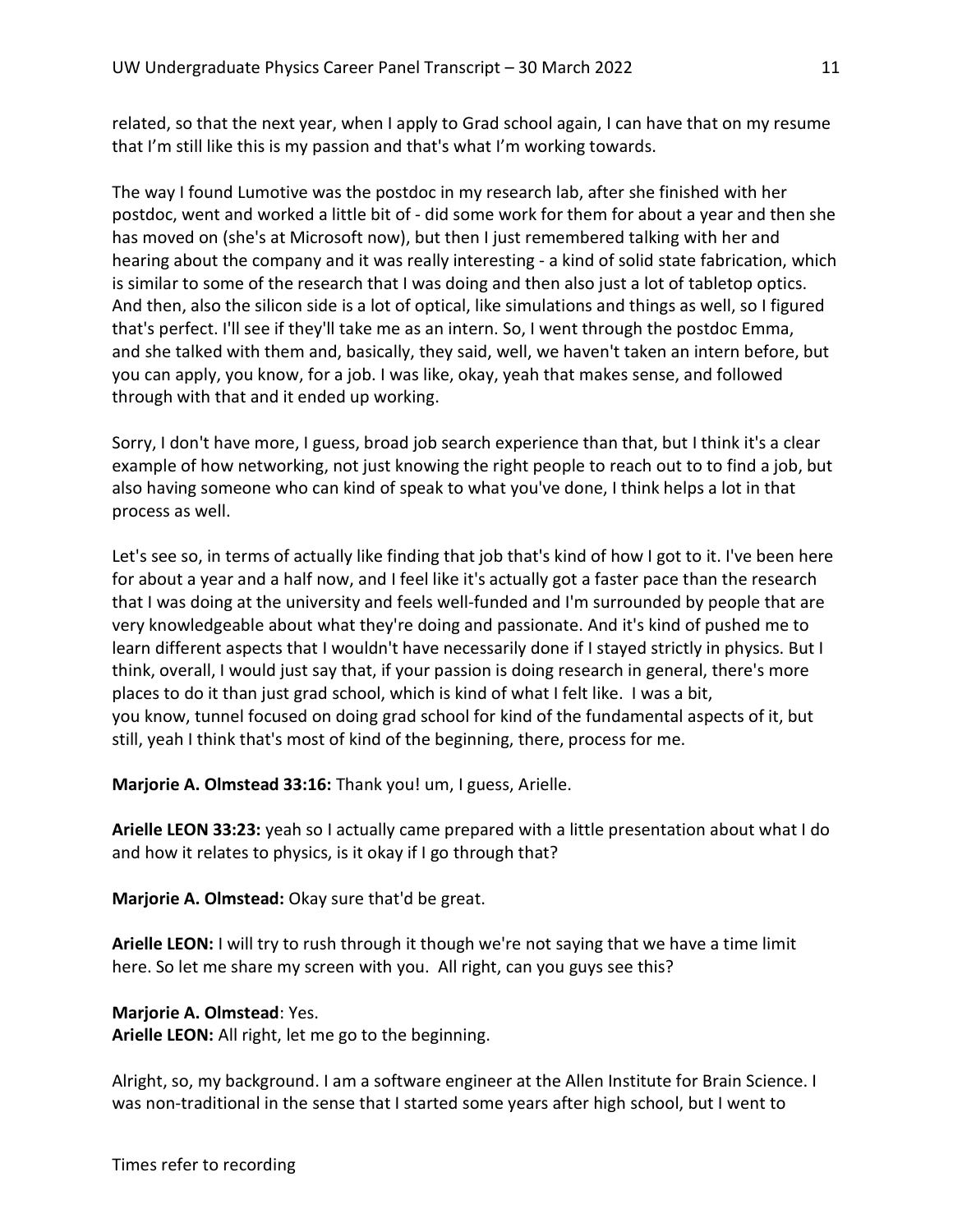related, so that the next year, when I apply to Grad school again, I can have that on my resume that I'm still like this is my passion and that's what I'm working towards.

The way I found Lumotive was the postdoc in my research lab, after she finished with her postdoc, went and worked a little bit of - did some work for them for about a year and then she has moved on (she's at Microsoft now), but then I just remembered talking with her and hearing about the company and it was really interesting - a kind of solid state fabrication, which is similar to some of the research that I was doing and then also just a lot of tabletop optics. And then, also the silicon side is a lot of optical, like simulations and things as well, so I figured that's perfect. I'll see if they'll take me as an intern. So, I went through the postdoc Emma, and she talked with them and, basically, they said, well, we haven't taken an intern before, but you can apply, you know, for a job. I was like, okay, yeah that makes sense, and followed through with that and it ended up working.

Sorry, I don't have more, I guess, broad job search experience than that, but I think it's a clear example of how networking, not just knowing the right people to reach out to to find a job, but also having someone who can kind of speak to what you've done, I think helps a lot in that process as well.

Let's see so, in terms of actually like finding that job that's kind of how I got to it. I've been here for about a year and a half now, and I feel like it's actually got a faster pace than the research that I was doing at the university and feels well-funded and I'm surrounded by people that are very knowledgeable about what they're doing and passionate. And it's kind of pushed me to learn different aspects that I wouldn't have necessarily done if I stayed strictly in physics. But I think, overall, I would just say that, if your passion is doing research in general, there's more places to do it than just grad school, which is kind of what I felt like. I was a bit, you know, tunnel focused on doing grad school for kind of the fundamental aspects of it, but still, yeah I think that's most of kind of the beginning, there, process for me.

Marjorie A. Olmstead 33:16: Thank you! um, I guess, Arielle.

Arielle LEON 33:23: yeah so I actually came prepared with a little presentation about what I do and how it relates to physics, is it okay if I go through that?

Marjorie A. Olmstead: Okay sure that'd be great.

Arielle LEON: I will try to rush through it though we're not saying that we have a time limit here. So let me share my screen with you. All right, can you guys see this?

# Marjorie A. Olmstead: Yes.

Arielle LEON: All right, let me go to the beginning.

Alright, so, my background. I am a software engineer at the Allen Institute for Brain Science. I was non-traditional in the sense that I started some years after high school, but I went to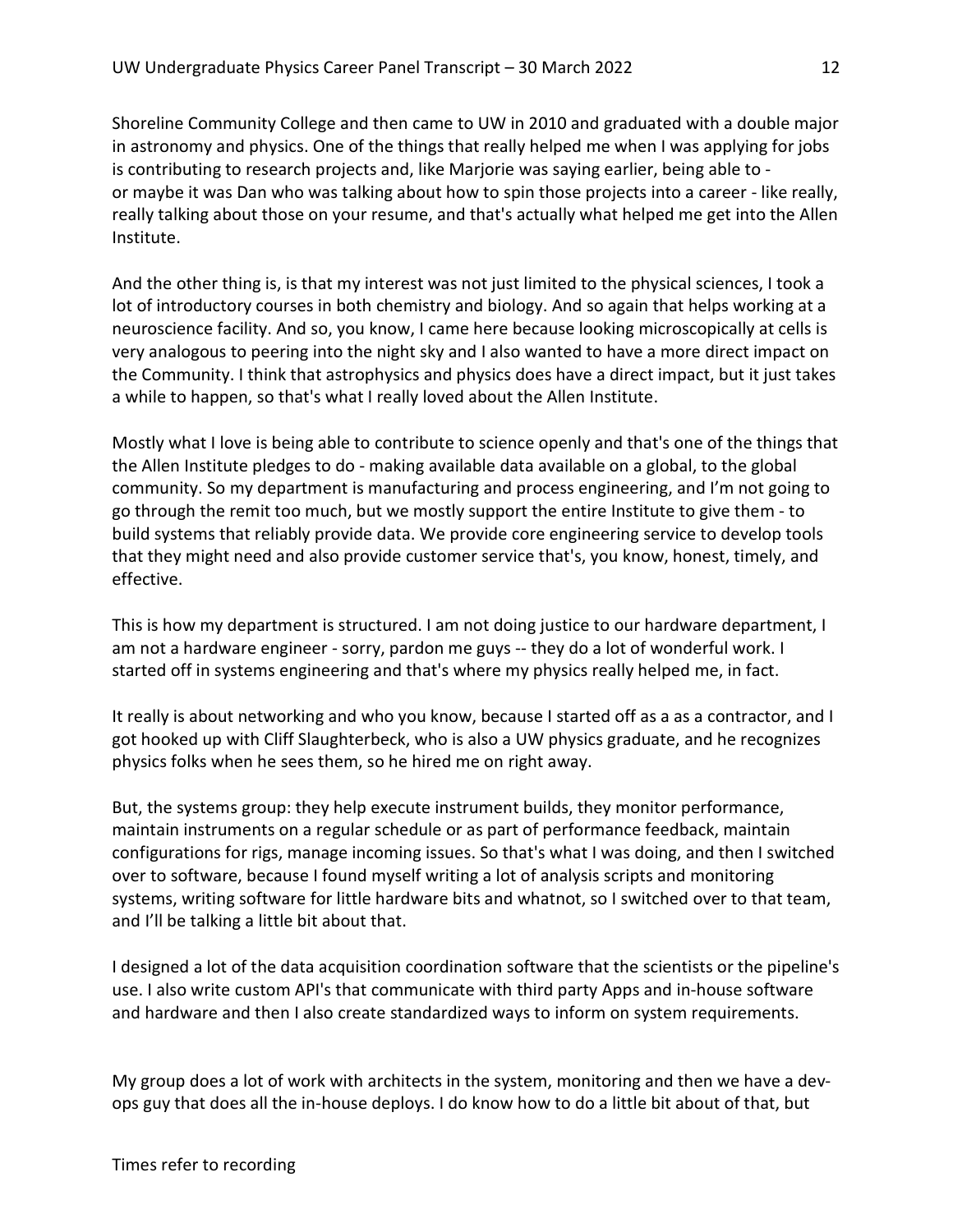Shoreline Community College and then came to UW in 2010 and graduated with a double major in astronomy and physics. One of the things that really helped me when I was applying for jobs is contributing to research projects and, like Marjorie was saying earlier, being able to or maybe it was Dan who was talking about how to spin those projects into a career - like really, really talking about those on your resume, and that's actually what helped me get into the Allen Institute.

And the other thing is, is that my interest was not just limited to the physical sciences, I took a lot of introductory courses in both chemistry and biology. And so again that helps working at a neuroscience facility. And so, you know, I came here because looking microscopically at cells is very analogous to peering into the night sky and I also wanted to have a more direct impact on the Community. I think that astrophysics and physics does have a direct impact, but it just takes a while to happen, so that's what I really loved about the Allen Institute.

Mostly what I love is being able to contribute to science openly and that's one of the things that the Allen Institute pledges to do - making available data available on a global, to the global community. So my department is manufacturing and process engineering, and I'm not going to go through the remit too much, but we mostly support the entire Institute to give them - to build systems that reliably provide data. We provide core engineering service to develop tools that they might need and also provide customer service that's, you know, honest, timely, and effective.

This is how my department is structured. I am not doing justice to our hardware department, I am not a hardware engineer - sorry, pardon me guys -- they do a lot of wonderful work. I started off in systems engineering and that's where my physics really helped me, in fact.

It really is about networking and who you know, because I started off as a as a contractor, and I got hooked up with Cliff Slaughterbeck, who is also a UW physics graduate, and he recognizes physics folks when he sees them, so he hired me on right away.

But, the systems group: they help execute instrument builds, they monitor performance, maintain instruments on a regular schedule or as part of performance feedback, maintain configurations for rigs, manage incoming issues. So that's what I was doing, and then I switched over to software, because I found myself writing a lot of analysis scripts and monitoring systems, writing software for little hardware bits and whatnot, so I switched over to that team, and I'll be talking a little bit about that.

I designed a lot of the data acquisition coordination software that the scientists or the pipeline's use. I also write custom API's that communicate with third party Apps and in-house software and hardware and then I also create standardized ways to inform on system requirements.

My group does a lot of work with architects in the system, monitoring and then we have a devops guy that does all the in-house deploys. I do know how to do a little bit about of that, but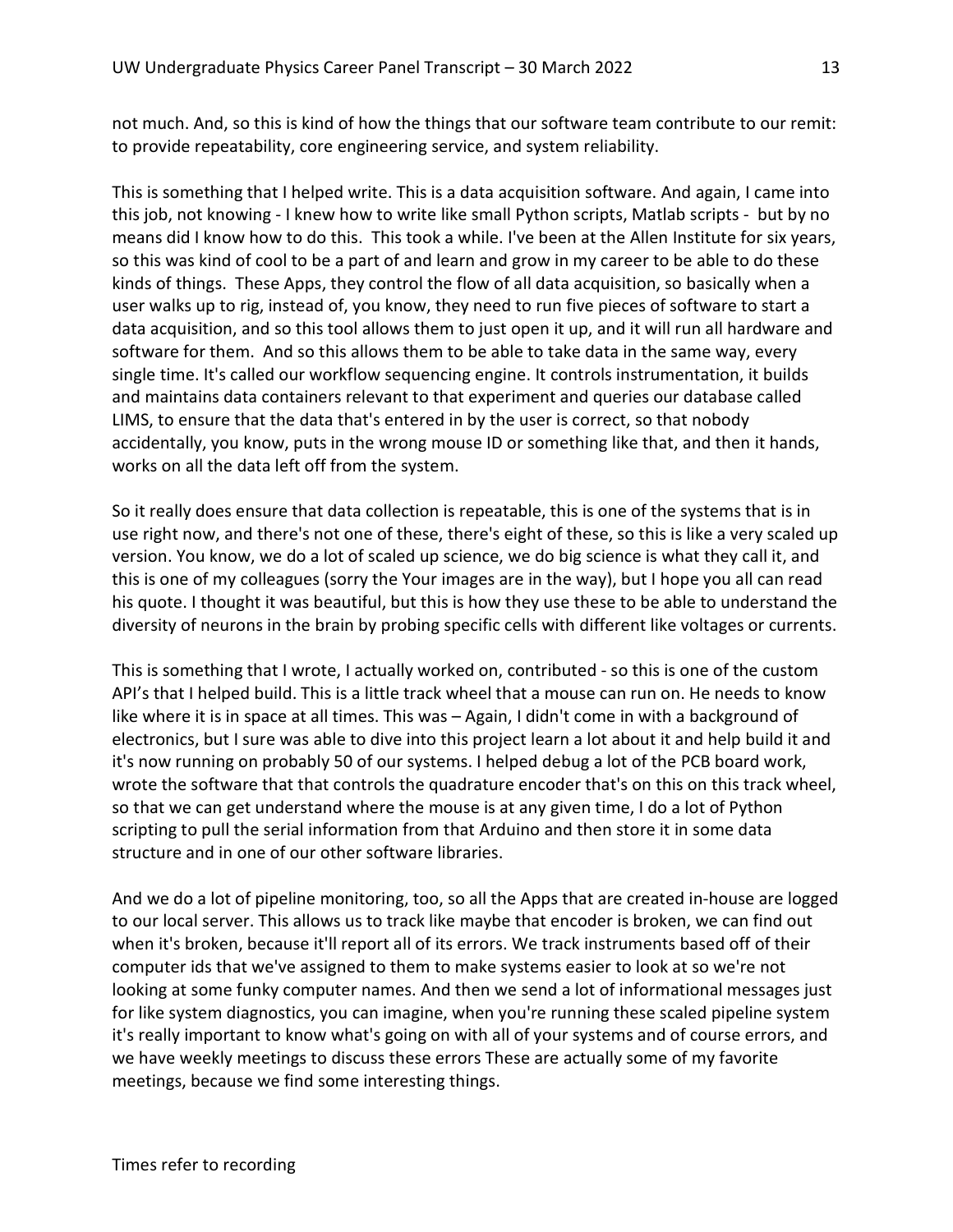not much. And, so this is kind of how the things that our software team contribute to our remit: to provide repeatability, core engineering service, and system reliability.

This is something that I helped write. This is a data acquisition software. And again, I came into this job, not knowing - I knew how to write like small Python scripts, Matlab scripts - but by no means did I know how to do this. This took a while. I've been at the Allen Institute for six years, so this was kind of cool to be a part of and learn and grow in my career to be able to do these kinds of things. These Apps, they control the flow of all data acquisition, so basically when a user walks up to rig, instead of, you know, they need to run five pieces of software to start a data acquisition, and so this tool allows them to just open it up, and it will run all hardware and software for them. And so this allows them to be able to take data in the same way, every single time. It's called our workflow sequencing engine. It controls instrumentation, it builds and maintains data containers relevant to that experiment and queries our database called LIMS, to ensure that the data that's entered in by the user is correct, so that nobody accidentally, you know, puts in the wrong mouse ID or something like that, and then it hands, works on all the data left off from the system.

So it really does ensure that data collection is repeatable, this is one of the systems that is in use right now, and there's not one of these, there's eight of these, so this is like a very scaled up version. You know, we do a lot of scaled up science, we do big science is what they call it, and this is one of my colleagues (sorry the Your images are in the way), but I hope you all can read his quote. I thought it was beautiful, but this is how they use these to be able to understand the diversity of neurons in the brain by probing specific cells with different like voltages or currents.

This is something that I wrote, I actually worked on, contributed - so this is one of the custom API's that I helped build. This is a little track wheel that a mouse can run on. He needs to know like where it is in space at all times. This was – Again, I didn't come in with a background of electronics, but I sure was able to dive into this project learn a lot about it and help build it and it's now running on probably 50 of our systems. I helped debug a lot of the PCB board work, wrote the software that that controls the quadrature encoder that's on this on this track wheel, so that we can get understand where the mouse is at any given time, I do a lot of Python scripting to pull the serial information from that Arduino and then store it in some data structure and in one of our other software libraries.

And we do a lot of pipeline monitoring, too, so all the Apps that are created in-house are logged to our local server. This allows us to track like maybe that encoder is broken, we can find out when it's broken, because it'll report all of its errors. We track instruments based off of their computer ids that we've assigned to them to make systems easier to look at so we're not looking at some funky computer names. And then we send a lot of informational messages just for like system diagnostics, you can imagine, when you're running these scaled pipeline system it's really important to know what's going on with all of your systems and of course errors, and we have weekly meetings to discuss these errors These are actually some of my favorite meetings, because we find some interesting things.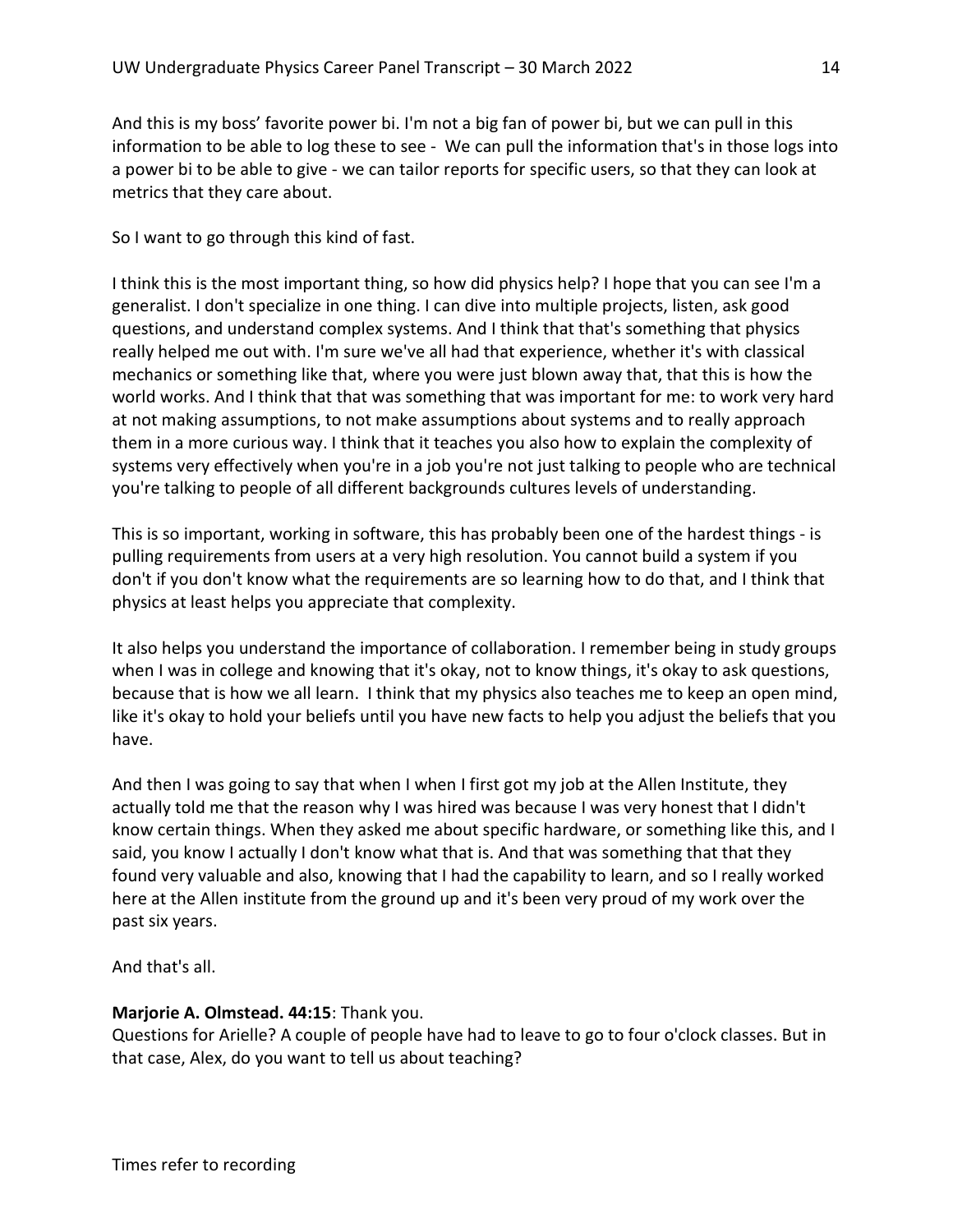And this is my boss' favorite power bi. I'm not a big fan of power bi, but we can pull in this information to be able to log these to see - We can pull the information that's in those logs into a power bi to be able to give - we can tailor reports for specific users, so that they can look at metrics that they care about.

So I want to go through this kind of fast.

I think this is the most important thing, so how did physics help? I hope that you can see I'm a generalist. I don't specialize in one thing. I can dive into multiple projects, listen, ask good questions, and understand complex systems. And I think that that's something that physics really helped me out with. I'm sure we've all had that experience, whether it's with classical mechanics or something like that, where you were just blown away that, that this is how the world works. And I think that that was something that was important for me: to work very hard at not making assumptions, to not make assumptions about systems and to really approach them in a more curious way. I think that it teaches you also how to explain the complexity of systems very effectively when you're in a job you're not just talking to people who are technical you're talking to people of all different backgrounds cultures levels of understanding.

This is so important, working in software, this has probably been one of the hardest things - is pulling requirements from users at a very high resolution. You cannot build a system if you don't if you don't know what the requirements are so learning how to do that, and I think that physics at least helps you appreciate that complexity.

It also helps you understand the importance of collaboration. I remember being in study groups when I was in college and knowing that it's okay, not to know things, it's okay to ask questions, because that is how we all learn. I think that my physics also teaches me to keep an open mind, like it's okay to hold your beliefs until you have new facts to help you adjust the beliefs that you have.

And then I was going to say that when I when I first got my job at the Allen Institute, they actually told me that the reason why I was hired was because I was very honest that I didn't know certain things. When they asked me about specific hardware, or something like this, and I said, you know I actually I don't know what that is. And that was something that that they found very valuable and also, knowing that I had the capability to learn, and so I really worked here at the Allen institute from the ground up and it's been very proud of my work over the past six years.

And that's all.

# Marjorie A. Olmstead. 44:15: Thank you.

Questions for Arielle? A couple of people have had to leave to go to four o'clock classes. But in that case, Alex, do you want to tell us about teaching?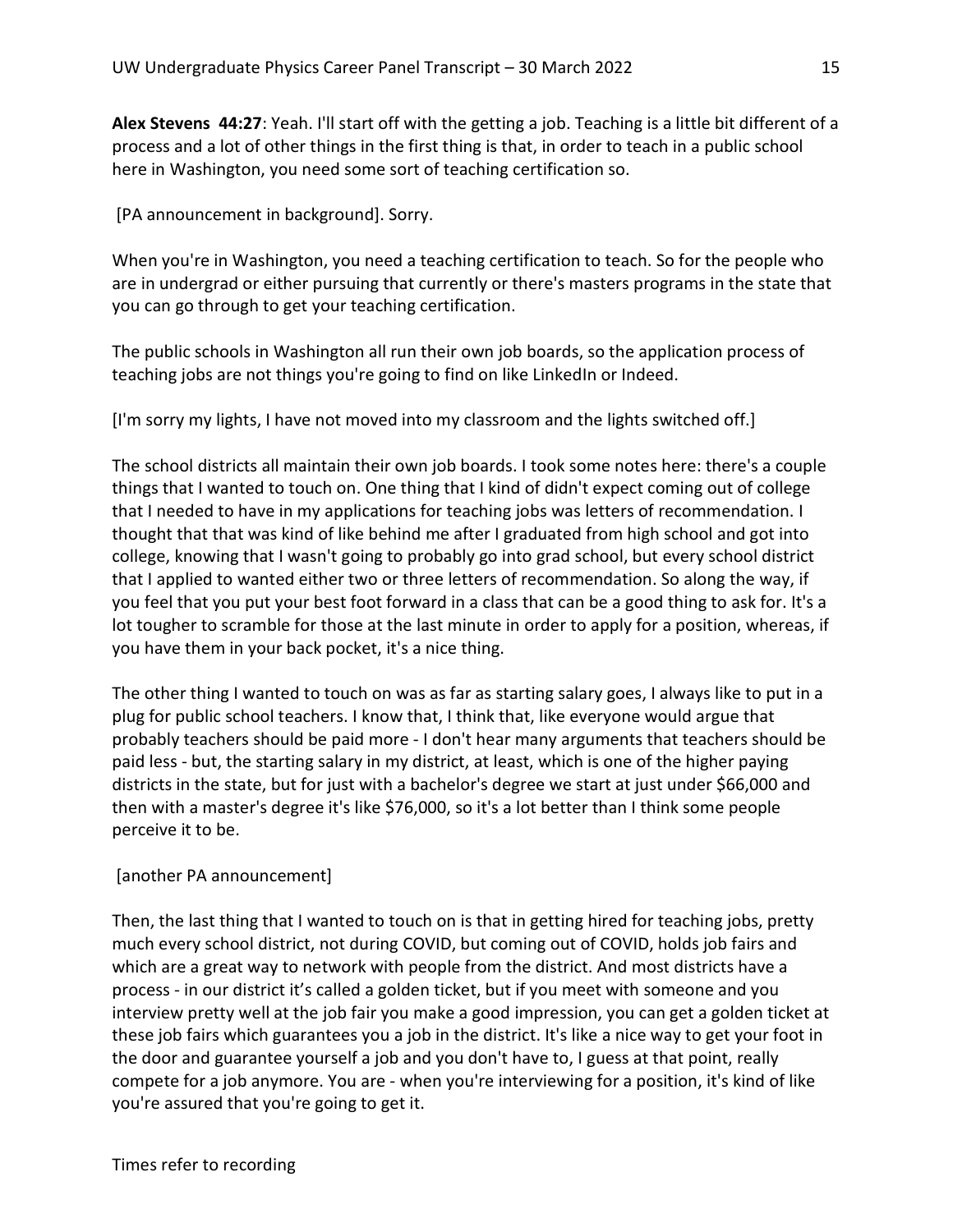Alex Stevens 44:27: Yeah. I'll start off with the getting a job. Teaching is a little bit different of a process and a lot of other things in the first thing is that, in order to teach in a public school here in Washington, you need some sort of teaching certification so.

[PA announcement in background]. Sorry.

When you're in Washington, you need a teaching certification to teach. So for the people who are in undergrad or either pursuing that currently or there's masters programs in the state that you can go through to get your teaching certification.

The public schools in Washington all run their own job boards, so the application process of teaching jobs are not things you're going to find on like LinkedIn or Indeed.

[I'm sorry my lights, I have not moved into my classroom and the lights switched off.]

The school districts all maintain their own job boards. I took some notes here: there's a couple things that I wanted to touch on. One thing that I kind of didn't expect coming out of college that I needed to have in my applications for teaching jobs was letters of recommendation. I thought that that was kind of like behind me after I graduated from high school and got into college, knowing that I wasn't going to probably go into grad school, but every school district that I applied to wanted either two or three letters of recommendation. So along the way, if you feel that you put your best foot forward in a class that can be a good thing to ask for. It's a lot tougher to scramble for those at the last minute in order to apply for a position, whereas, if you have them in your back pocket, it's a nice thing.

The other thing I wanted to touch on was as far as starting salary goes, I always like to put in a plug for public school teachers. I know that, I think that, like everyone would argue that probably teachers should be paid more - I don't hear many arguments that teachers should be paid less - but, the starting salary in my district, at least, which is one of the higher paying districts in the state, but for just with a bachelor's degree we start at just under \$66,000 and then with a master's degree it's like \$76,000, so it's a lot better than I think some people perceive it to be.

# [another PA announcement]

Then, the last thing that I wanted to touch on is that in getting hired for teaching jobs, pretty much every school district, not during COVID, but coming out of COVID, holds job fairs and which are a great way to network with people from the district. And most districts have a process - in our district it's called a golden ticket, but if you meet with someone and you interview pretty well at the job fair you make a good impression, you can get a golden ticket at these job fairs which guarantees you a job in the district. It's like a nice way to get your foot in the door and guarantee yourself a job and you don't have to, I guess at that point, really compete for a job anymore. You are - when you're interviewing for a position, it's kind of like you're assured that you're going to get it.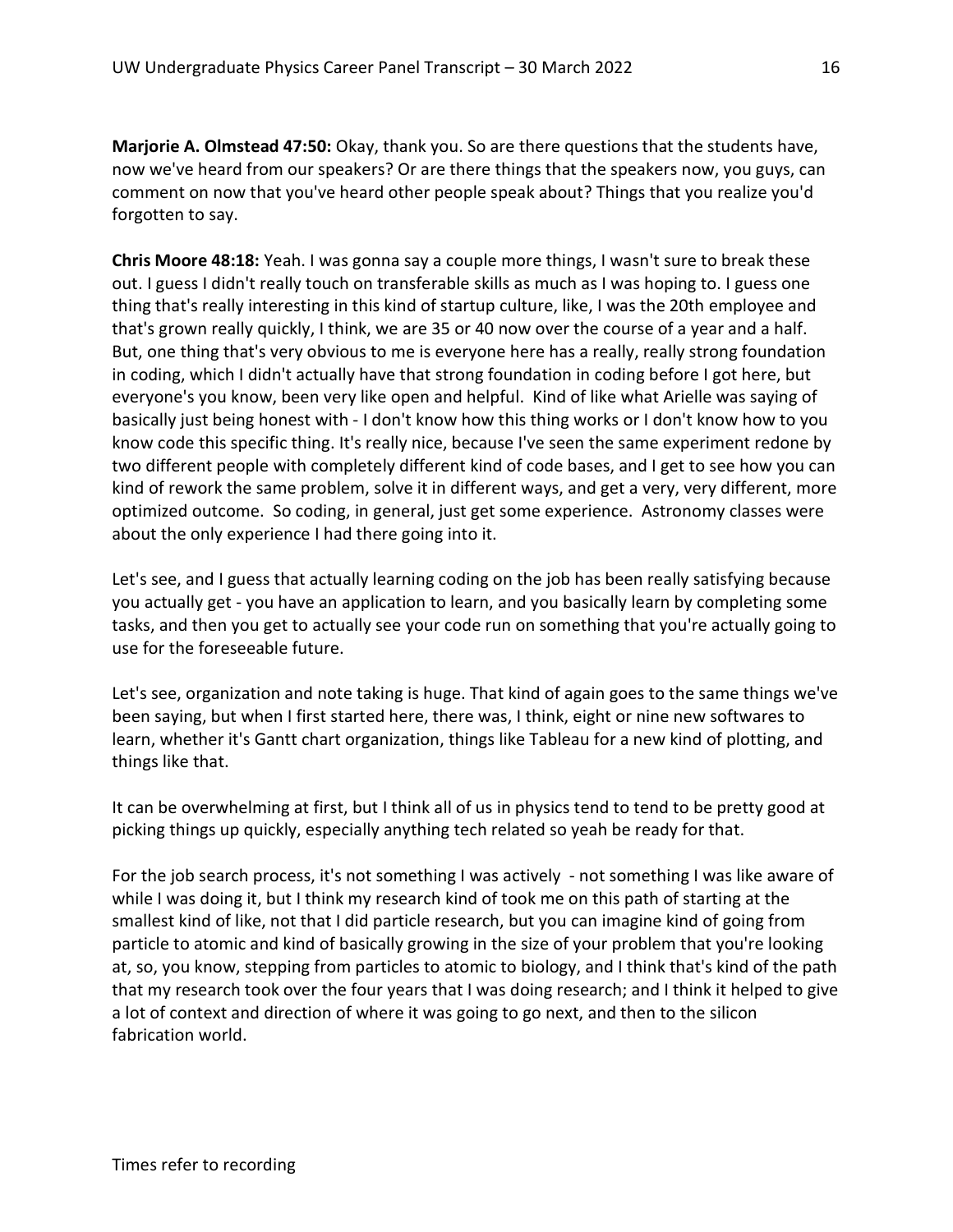Marjorie A. Olmstead 47:50: Okay, thank you. So are there questions that the students have, now we've heard from our speakers? Or are there things that the speakers now, you guys, can comment on now that you've heard other people speak about? Things that you realize you'd forgotten to say.

Chris Moore 48:18: Yeah. I was gonna say a couple more things, I wasn't sure to break these out. I guess I didn't really touch on transferable skills as much as I was hoping to. I guess one thing that's really interesting in this kind of startup culture, like, I was the 20th employee and that's grown really quickly, I think, we are 35 or 40 now over the course of a year and a half. But, one thing that's very obvious to me is everyone here has a really, really strong foundation in coding, which I didn't actually have that strong foundation in coding before I got here, but everyone's you know, been very like open and helpful. Kind of like what Arielle was saying of basically just being honest with - I don't know how this thing works or I don't know how to you know code this specific thing. It's really nice, because I've seen the same experiment redone by two different people with completely different kind of code bases, and I get to see how you can kind of rework the same problem, solve it in different ways, and get a very, very different, more optimized outcome. So coding, in general, just get some experience. Astronomy classes were about the only experience I had there going into it.

Let's see, and I guess that actually learning coding on the job has been really satisfying because you actually get - you have an application to learn, and you basically learn by completing some tasks, and then you get to actually see your code run on something that you're actually going to use for the foreseeable future.

Let's see, organization and note taking is huge. That kind of again goes to the same things we've been saying, but when I first started here, there was, I think, eight or nine new softwares to learn, whether it's Gantt chart organization, things like Tableau for a new kind of plotting, and things like that.

It can be overwhelming at first, but I think all of us in physics tend to tend to be pretty good at picking things up quickly, especially anything tech related so yeah be ready for that.

For the job search process, it's not something I was actively - not something I was like aware of while I was doing it, but I think my research kind of took me on this path of starting at the smallest kind of like, not that I did particle research, but you can imagine kind of going from particle to atomic and kind of basically growing in the size of your problem that you're looking at, so, you know, stepping from particles to atomic to biology, and I think that's kind of the path that my research took over the four years that I was doing research; and I think it helped to give a lot of context and direction of where it was going to go next, and then to the silicon fabrication world.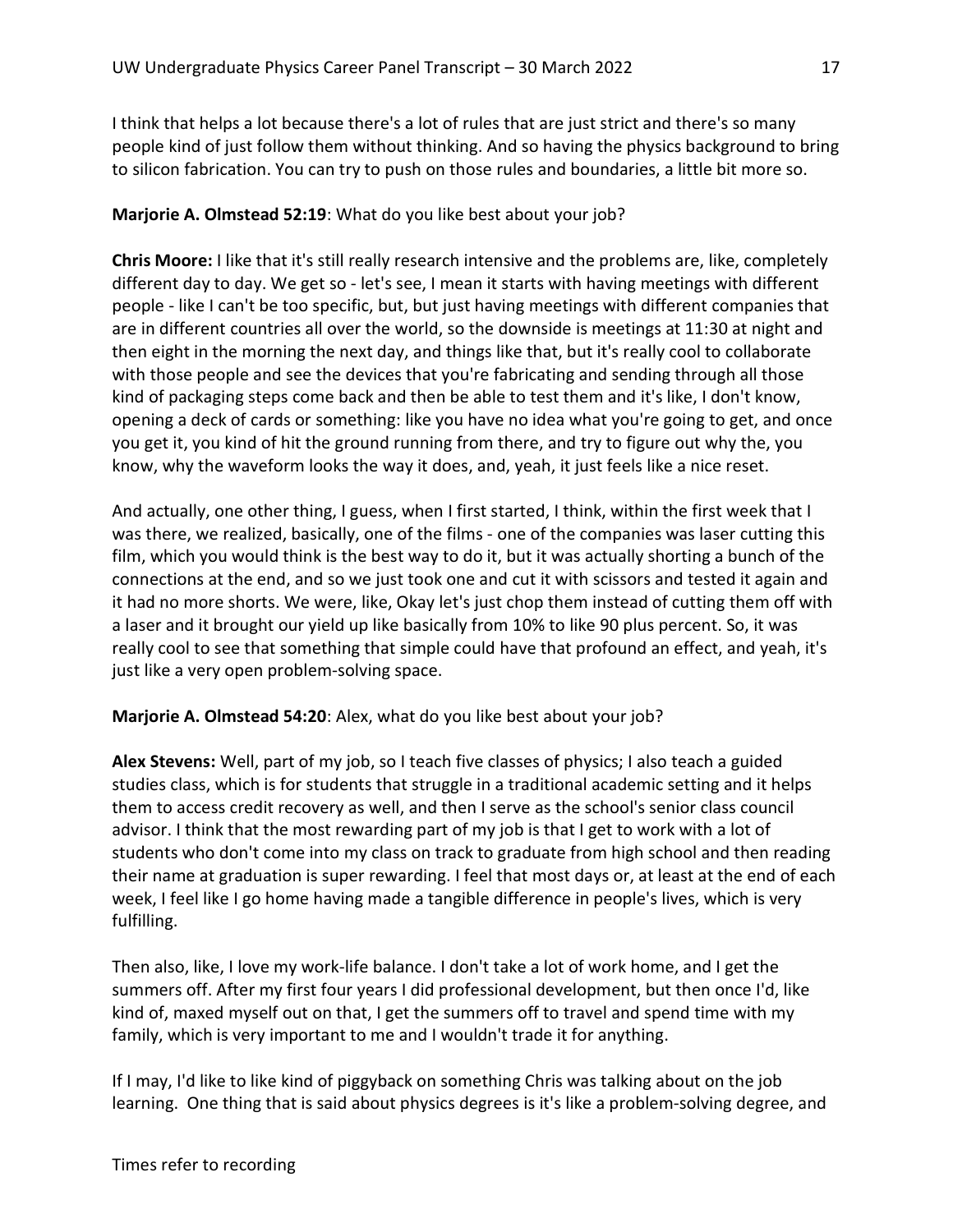I think that helps a lot because there's a lot of rules that are just strict and there's so many people kind of just follow them without thinking. And so having the physics background to bring to silicon fabrication. You can try to push on those rules and boundaries, a little bit more so.

# Marjorie A. Olmstead 52:19: What do you like best about your job?

Chris Moore: I like that it's still really research intensive and the problems are, like, completely different day to day. We get so - let's see, I mean it starts with having meetings with different people - like I can't be too specific, but, but just having meetings with different companies that are in different countries all over the world, so the downside is meetings at 11:30 at night and then eight in the morning the next day, and things like that, but it's really cool to collaborate with those people and see the devices that you're fabricating and sending through all those kind of packaging steps come back and then be able to test them and it's like, I don't know, opening a deck of cards or something: like you have no idea what you're going to get, and once you get it, you kind of hit the ground running from there, and try to figure out why the, you know, why the waveform looks the way it does, and, yeah, it just feels like a nice reset.

And actually, one other thing, I guess, when I first started, I think, within the first week that I was there, we realized, basically, one of the films - one of the companies was laser cutting this film, which you would think is the best way to do it, but it was actually shorting a bunch of the connections at the end, and so we just took one and cut it with scissors and tested it again and it had no more shorts. We were, like, Okay let's just chop them instead of cutting them off with a laser and it brought our yield up like basically from 10% to like 90 plus percent. So, it was really cool to see that something that simple could have that profound an effect, and yeah, it's just like a very open problem-solving space.

# Marjorie A. Olmstead 54:20: Alex, what do you like best about your job?

Alex Stevens: Well, part of my job, so I teach five classes of physics; I also teach a guided studies class, which is for students that struggle in a traditional academic setting and it helps them to access credit recovery as well, and then I serve as the school's senior class council advisor. I think that the most rewarding part of my job is that I get to work with a lot of students who don't come into my class on track to graduate from high school and then reading their name at graduation is super rewarding. I feel that most days or, at least at the end of each week, I feel like I go home having made a tangible difference in people's lives, which is very fulfilling.

Then also, like, I love my work-life balance. I don't take a lot of work home, and I get the summers off. After my first four years I did professional development, but then once I'd, like kind of, maxed myself out on that, I get the summers off to travel and spend time with my family, which is very important to me and I wouldn't trade it for anything.

If I may, I'd like to like kind of piggyback on something Chris was talking about on the job learning. One thing that is said about physics degrees is it's like a problem-solving degree, and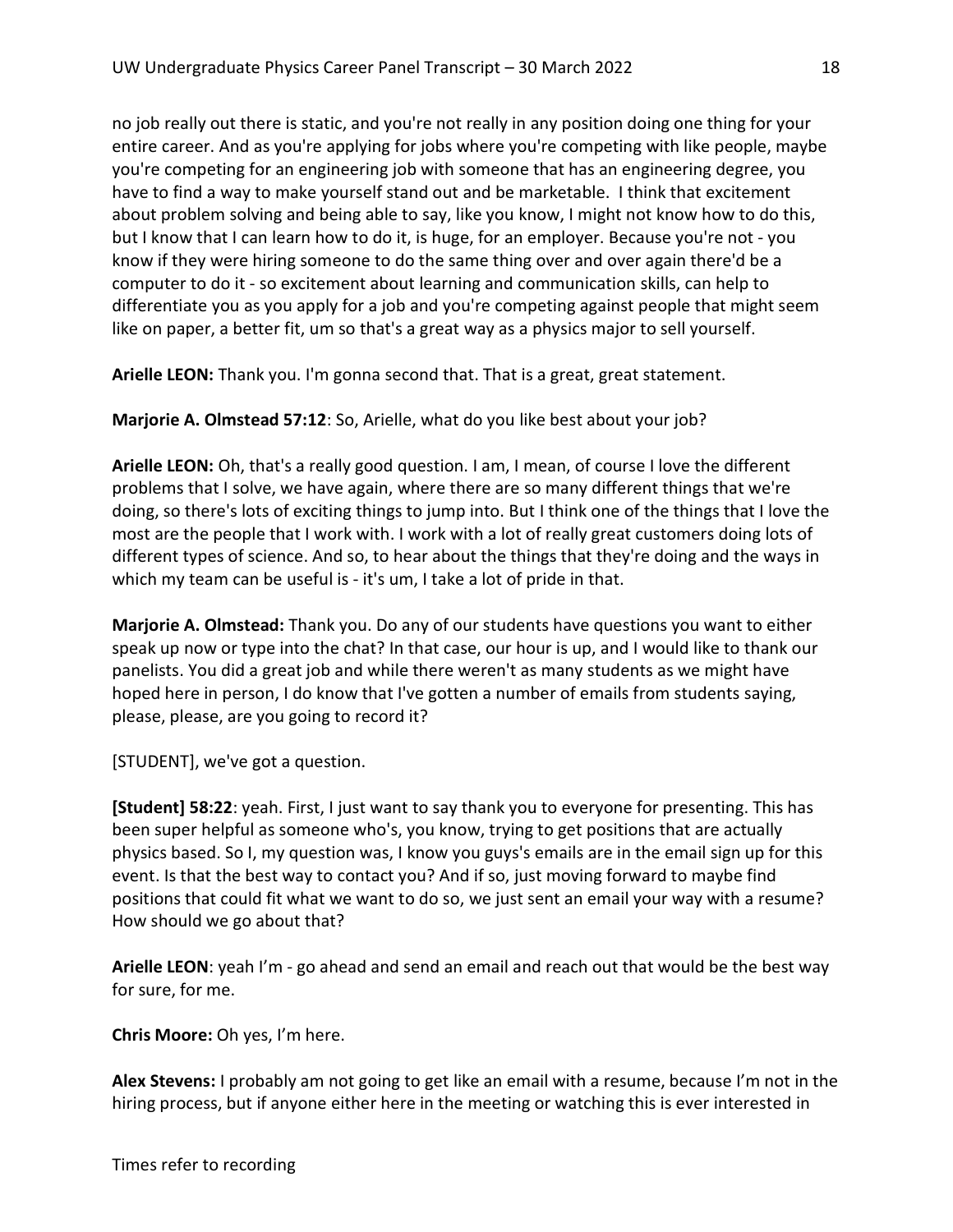no job really out there is static, and you're not really in any position doing one thing for your entire career. And as you're applying for jobs where you're competing with like people, maybe you're competing for an engineering job with someone that has an engineering degree, you have to find a way to make yourself stand out and be marketable. I think that excitement about problem solving and being able to say, like you know, I might not know how to do this, but I know that I can learn how to do it, is huge, for an employer. Because you're not - you know if they were hiring someone to do the same thing over and over again there'd be a computer to do it - so excitement about learning and communication skills, can help to differentiate you as you apply for a job and you're competing against people that might seem like on paper, a better fit, um so that's a great way as a physics major to sell yourself.

Arielle LEON: Thank you. I'm gonna second that. That is a great, great statement.

Marjorie A. Olmstead 57:12: So, Arielle, what do you like best about your job?

Arielle LEON: Oh, that's a really good question. I am, I mean, of course I love the different problems that I solve, we have again, where there are so many different things that we're doing, so there's lots of exciting things to jump into. But I think one of the things that I love the most are the people that I work with. I work with a lot of really great customers doing lots of different types of science. And so, to hear about the things that they're doing and the ways in which my team can be useful is - it's um, I take a lot of pride in that.

Marjorie A. Olmstead: Thank you. Do any of our students have questions you want to either speak up now or type into the chat? In that case, our hour is up, and I would like to thank our panelists. You did a great job and while there weren't as many students as we might have hoped here in person, I do know that I've gotten a number of emails from students saying, please, please, are you going to record it?

[STUDENT], we've got a question.

[Student] 58:22: yeah. First, I just want to say thank you to everyone for presenting. This has been super helpful as someone who's, you know, trying to get positions that are actually physics based. So I, my question was, I know you guys's emails are in the email sign up for this event. Is that the best way to contact you? And if so, just moving forward to maybe find positions that could fit what we want to do so, we just sent an email your way with a resume? How should we go about that?

Arielle LEON: yeah I'm - go ahead and send an email and reach out that would be the best way for sure, for me.

Chris Moore: Oh yes, I'm here.

Alex Stevens: I probably am not going to get like an email with a resume, because I'm not in the hiring process, but if anyone either here in the meeting or watching this is ever interested in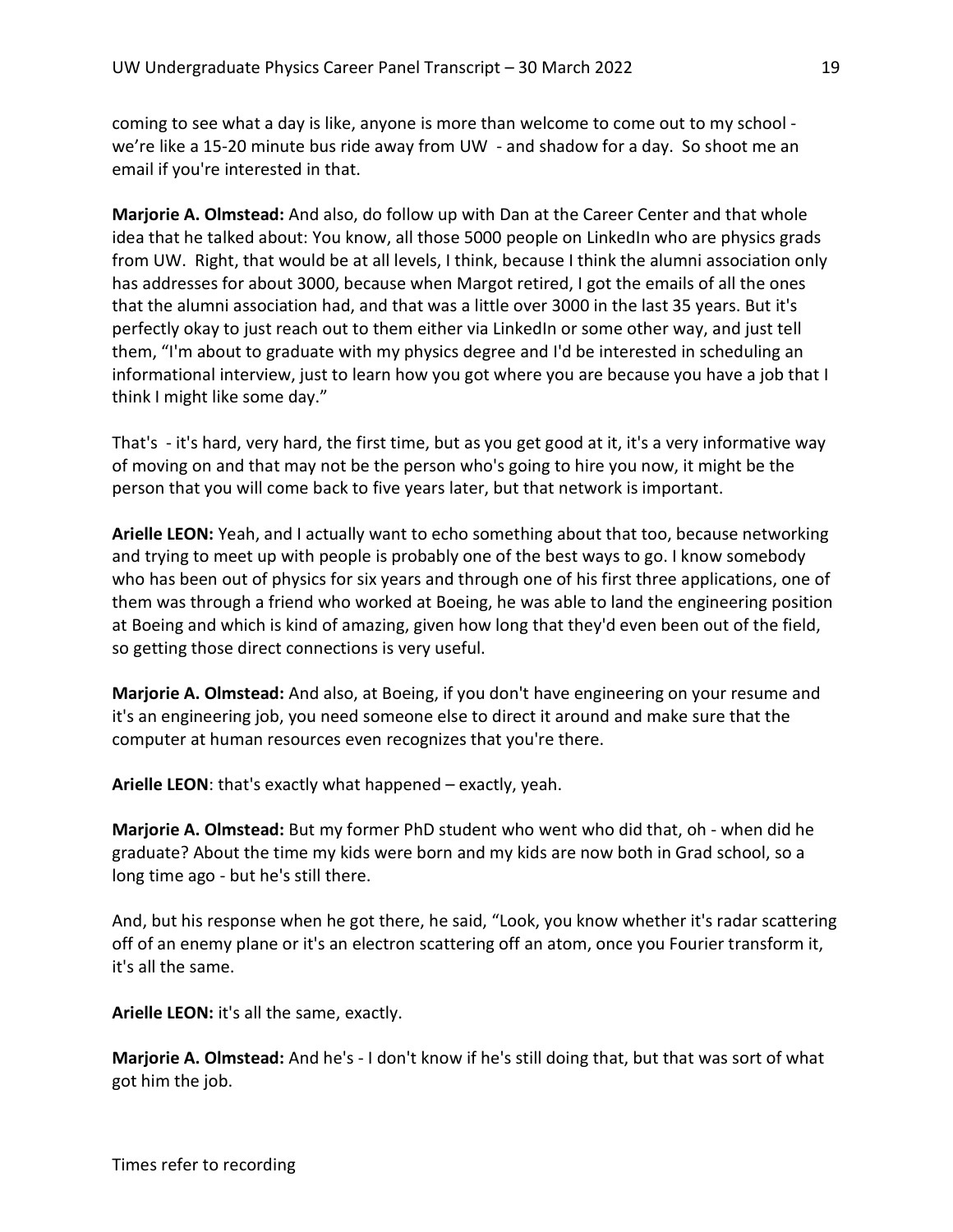coming to see what a day is like, anyone is more than welcome to come out to my school we're like a 15-20 minute bus ride away from UW - and shadow for a day. So shoot me an email if you're interested in that.

Marjorie A. Olmstead: And also, do follow up with Dan at the Career Center and that whole idea that he talked about: You know, all those 5000 people on LinkedIn who are physics grads from UW. Right, that would be at all levels, I think, because I think the alumni association only has addresses for about 3000, because when Margot retired, I got the emails of all the ones that the alumni association had, and that was a little over 3000 in the last 35 years. But it's perfectly okay to just reach out to them either via LinkedIn or some other way, and just tell them, "I'm about to graduate with my physics degree and I'd be interested in scheduling an informational interview, just to learn how you got where you are because you have a job that I think I might like some day."

That's - it's hard, very hard, the first time, but as you get good at it, it's a very informative way of moving on and that may not be the person who's going to hire you now, it might be the person that you will come back to five years later, but that network is important.

Arielle LEON: Yeah, and I actually want to echo something about that too, because networking and trying to meet up with people is probably one of the best ways to go. I know somebody who has been out of physics for six years and through one of his first three applications, one of them was through a friend who worked at Boeing, he was able to land the engineering position at Boeing and which is kind of amazing, given how long that they'd even been out of the field, so getting those direct connections is very useful.

Marjorie A. Olmstead: And also, at Boeing, if you don't have engineering on your resume and it's an engineering job, you need someone else to direct it around and make sure that the computer at human resources even recognizes that you're there.

Arielle LEON: that's exactly what happened – exactly, yeah.

Marjorie A. Olmstead: But my former PhD student who went who did that, oh - when did he graduate? About the time my kids were born and my kids are now both in Grad school, so a long time ago - but he's still there.

And, but his response when he got there, he said, "Look, you know whether it's radar scattering off of an enemy plane or it's an electron scattering off an atom, once you Fourier transform it, it's all the same.

Arielle LEON: it's all the same, exactly.

Marjorie A. Olmstead: And he's - I don't know if he's still doing that, but that was sort of what got him the job.